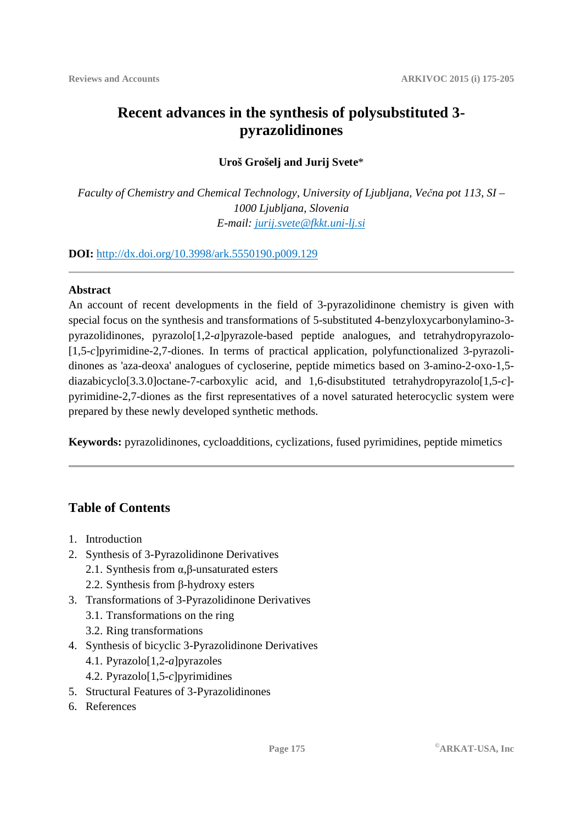# **Recent advances in the synthesis of polysubstituted 3 pyrazolidinones**

### **Uroš Grošelj and Jurij Svete**\*

*Faculty of Chemistry and Chemical Technology, University of Ljubljana, Večna pot 113, SI – 1000 Ljubljana, Slovenia E-mail: jurij.svete@fkkt.uni-lj.si*

**DOI:** http://dx.doi.org/10.3998/ark.5550190.p009.129

#### **Abstract**

An account of recent developments in the field of 3-pyrazolidinone chemistry is given with special focus on the synthesis and transformations of 5-substituted 4-benzyloxycarbonylamino-3 pyrazolidinones, pyrazolo[1,2-*a*]pyrazole-based peptide analogues, and tetrahydropyrazolo- [1,5-*c*]pyrimidine-2,7-diones. In terms of practical application, polyfunctionalized 3-pyrazolidinones as 'aza-deoxa' analogues of cycloserine, peptide mimetics based on 3-amino-2-oxo-1,5 diazabicyclo[3.3.0]octane-7-carboxylic acid, and 1,6-disubstituted tetrahydropyrazolo[1,5-*c*] pyrimidine-2,7-diones as the first representatives of a novel saturated heterocyclic system were prepared by these newly developed synthetic methods.

**Keywords:** pyrazolidinones, cycloadditions, cyclizations, fused pyrimidines, peptide mimetics

## **Table of Contents**

- 1. Introduction
- 2. Synthesis of 3-Pyrazolidinone Derivatives
	- 2.1. Synthesis from  $\alpha$ ,  $\beta$ -unsaturated esters
	- 2.2. Synthesis from β-hydroxy esters
- 3. Transformations of 3-Pyrazolidinone Derivatives
	- 3.1. Transformations on the ring
	- 3.2. Ring transformations
- 4. Synthesis of bicyclic 3-Pyrazolidinone Derivatives
	- 4.1. Pyrazolo[1,2-*a*]pyrazoles
	- 4.2. Pyrazolo[1,5-*c*]pyrimidines
- 5. Structural Features of 3-Pyrazolidinones
- 6. References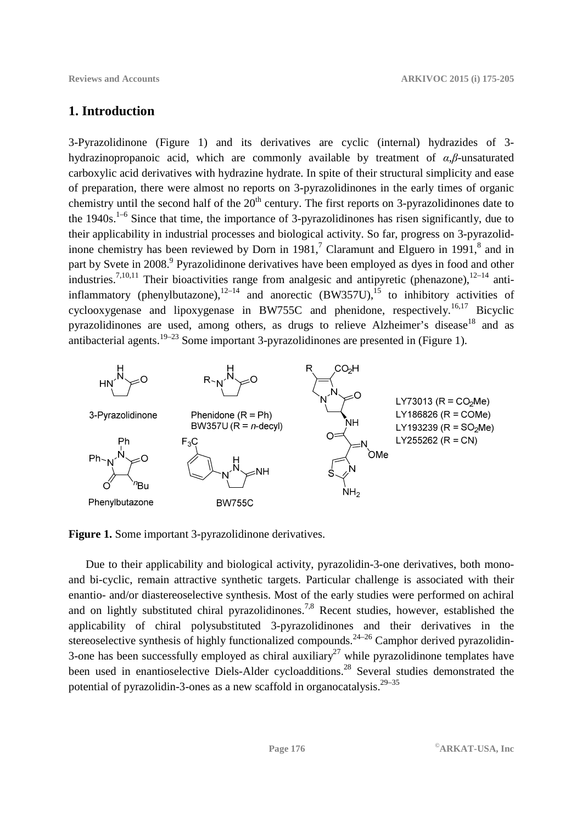### **1. Introduction**

3-Pyrazolidinone (Figure 1) and its derivatives are cyclic (internal) hydrazides of 3 hydrazinopropanoic acid, which are commonly available by treatment of *α*,*β*-unsaturated carboxylic acid derivatives with hydrazine hydrate. In spite of their structural simplicity and ease of preparation, there were almost no reports on 3-pyrazolidinones in the early times of organic chemistry until the second half of the  $20<sup>th</sup>$  century. The first reports on 3-pyrazolidinones date to the  $1940s$ .<sup>1–6</sup> Since that time, the importance of 3-pyrazolidinones has risen significantly, due to their applicability in industrial processes and biological activity. So far, progress on 3-pyrazolidinone chemistry has been reviewed by Dorn in 1981,<sup>7</sup> Claramunt and Elguero in 1991,<sup>8</sup> and in part by Svete in 2008.<sup>9</sup> Pyrazolidinone derivatives have been employed as dyes in food and other industries.<sup>7,10,11</sup> Their bioactivities range from analgesic and antipyretic (phenazone),<sup>12–14</sup> antiinflammatory (phenylbutazone), $12-14$  and anorectic (BW357U), $15$  to inhibitory activities of cyclooxygenase and lipoxygenase in BW755C and phenidone, respectively.<sup>16,17</sup> Bicyclic pyrazolidinones are used, among others, as drugs to relieve Alzheimer's disease<sup>18</sup> and as antibacterial agents.<sup>19–23</sup> Some important 3-pyrazolidinones are presented in (Figure 1).



**Figure 1.** Some important 3-pyrazolidinone derivatives.

Due to their applicability and biological activity, pyrazolidin-3-one derivatives, both monoand bi-cyclic, remain attractive synthetic targets. Particular challenge is associated with their enantio- and/or diastereoselective synthesis. Most of the early studies were performed on achiral and on lightly substituted chiral pyrazolidinones.<sup>7,8</sup> Recent studies, however, established the applicability of chiral polysubstituted 3-pyrazolidinones and their derivatives in the stereoselective synthesis of highly functionalized compounds.<sup>24–26</sup> Camphor derived pyrazolidin-3-one has been successfully employed as chiral auxiliary<sup>27</sup> while pyrazolidinone templates have been used in enantioselective Diels-Alder cycloadditions.<sup>28</sup> Several studies demonstrated the potential of pyrazolidin-3-ones as a new scaffold in organocatalysis.<sup>29–35</sup>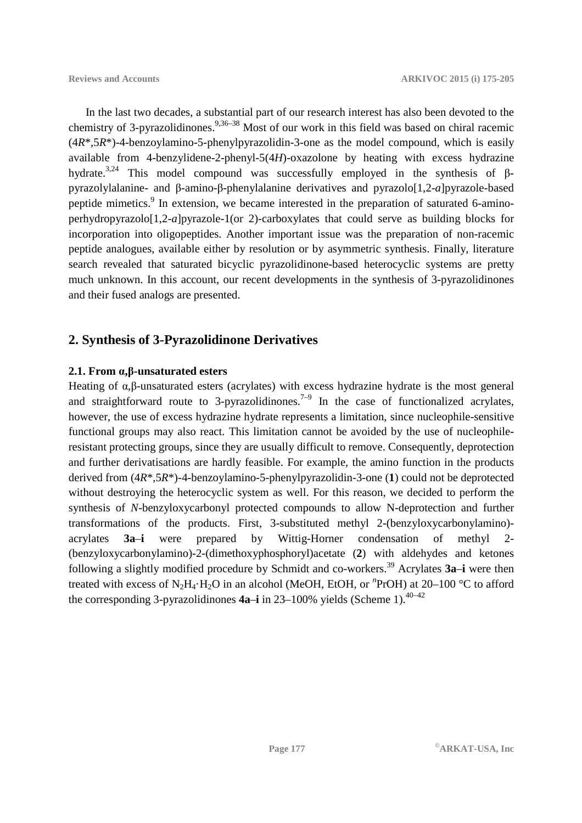In the last two decades, a substantial part of our research interest has also been devoted to the chemistry of 3-pyrazolidinones.9,36–38 Most of our work in this field was based on chiral racemic (4*R*\*,5*R*\*)-4-benzoylamino-5-phenylpyrazolidin-3-one as the model compound, which is easily available from 4-benzylidene-2-phenyl-5(4*H*)-oxazolone by heating with excess hydrazine hydrate.<sup>3,24</sup> This model compound was successfully employed in the synthesis of βpyrazolylalanine- and β-amino-β-phenylalanine derivatives and pyrazolo[1,2-*a*]pyrazole-based peptide mimetics.<sup>9</sup> In extension, we became interested in the preparation of saturated 6-aminoperhydropyrazolo[1,2-*a*]pyrazole-1(or 2)-carboxylates that could serve as building blocks for incorporation into oligopeptides. Another important issue was the preparation of non-racemic peptide analogues, available either by resolution or by asymmetric synthesis. Finally, literature search revealed that saturated bicyclic pyrazolidinone-based heterocyclic systems are pretty much unknown. In this account, our recent developments in the synthesis of 3-pyrazolidinones and their fused analogs are presented.

### **2. Synthesis of 3-Pyrazolidinone Derivatives**

#### **2.1. From α,β-unsaturated esters**

Heating of α,β-unsaturated esters (acrylates) with excess hydrazine hydrate is the most general and straightforward route to 3-pyrazolidinones.<sup>7-9</sup> In the case of functionalized acrylates, however, the use of excess hydrazine hydrate represents a limitation, since nucleophile-sensitive functional groups may also react. This limitation cannot be avoided by the use of nucleophileresistant protecting groups, since they are usually difficult to remove. Consequently, deprotection and further derivatisations are hardly feasible. For example, the amino function in the products derived from (4*R*\*,5*R*\*)-4-benzoylamino-5-phenylpyrazolidin-3-one (**1**) could not be deprotected without destroying the heterocyclic system as well. For this reason, we decided to perform the synthesis of *N*-benzyloxycarbonyl protected compounds to allow N-deprotection and further transformations of the products. First, 3-substituted methyl 2-(benzyloxycarbonylamino) acrylates **3a**–**i** were prepared by Wittig-Horner condensation of methyl 2- (benzyloxycarbonylamino)-2-(dimethoxyphosphoryl)acetate (**2**) with aldehydes and ketones following a slightly modified procedure by Schmidt and co-workers.<sup>39</sup> Acrylates **3a**–**i** were then treated with excess of N<sub>2</sub>H<sub>4</sub>·H<sub>2</sub>O in an alcohol (MeOH, EtOH, or <sup>*n*</sup>PrOH) at 20–100 °C to afford the corresponding 3-pyrazolidinones  $4a$ –**i** in 23–100% yields (Scheme 1).<sup>40–42</sup>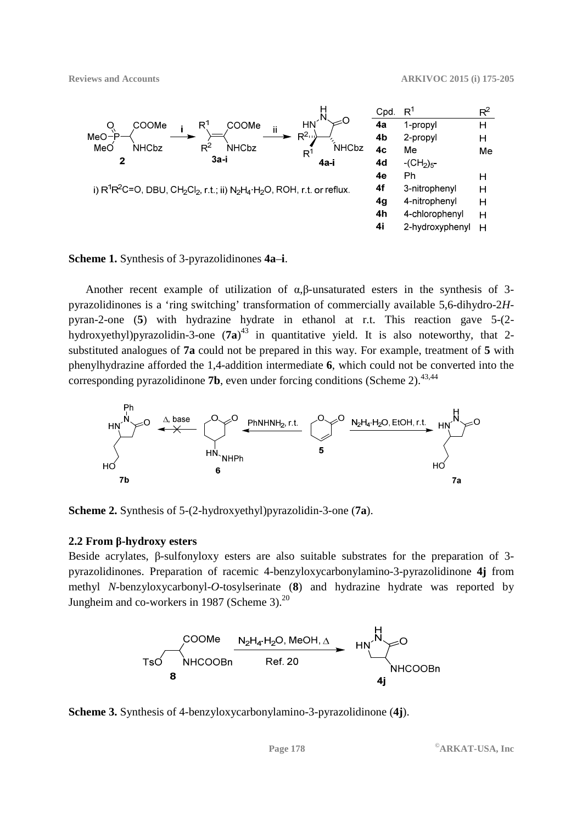

**Scheme 1.** Synthesis of 3-pyrazolidinones **4a**–**i**.

Another recent example of utilization of α,β-unsaturated esters in the synthesis of 3 pyrazolidinones is a 'ring switching' transformation of commercially available 5,6-dihydro-2*H*pyran-2-one (**5**) with hydrazine hydrate in ethanol at r.t. This reaction gave 5-(2 hydroxyethyl)pyrazolidin-3-one (**7a**) <sup>43</sup> in quantitative yield. It is also noteworthy, that 2 substituted analogues of **7a** could not be prepared in this way. For example, treatment of **5** with phenylhydrazine afforded the 1,4-addition intermediate **6**, which could not be converted into the corresponding pyrazolidinone **7b**, even under forcing conditions (Scheme 2).<sup>43,44</sup>



**Scheme 2.** Synthesis of 5-(2-hydroxyethyl)pyrazolidin-3-one (**7a**).

#### **2.2 From β-hydroxy esters**

Beside acrylates, β-sulfonyloxy esters are also suitable substrates for the preparation of 3 pyrazolidinones. Preparation of racemic 4-benzyloxycarbonylamino-3-pyrazolidinone **4j** from methyl *N*-benzyloxycarbonyl-*O*-tosylserinate (**8**) and hydrazine hydrate was reported by Jungheim and co-workers in 1987 (Scheme 3). $^{20}$ 



**Scheme 3.** Synthesis of 4-benzyloxycarbonylamino-3-pyrazolidinone (**4j**).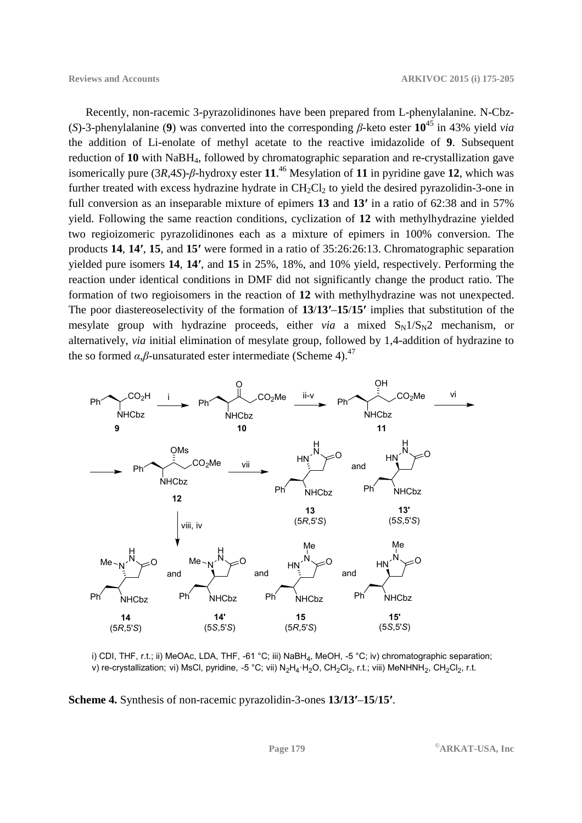Recently, non-racemic 3-pyrazolidinones have been prepared from L-phenylalanine. N-Cbz- (*S*)-3-phenylalanine (**9**) was converted into the corresponding *β*-keto ester **10**<sup>45</sup> in 43% yield *via* the addition of Li-enolate of methyl acetate to the reactive imidazolide of **9**. Subsequent reduction of **10** with NaBH4, followed by chromatographic separation and re-crystallization gave isomerically pure (3*R*,4*S*)-*β*-hydroxy ester **11**. <sup>46</sup> Mesylation of **11** in pyridine gave **12**, which was further treated with excess hydrazine hydrate in  $CH_2Cl_2$  to yield the desired pyrazolidin-3-one in full conversion as an inseparable mixture of epimers **13** and **13′** in a ratio of 62:38 and in 57% yield. Following the same reaction conditions, cyclization of **12** with methylhydrazine yielded two regioizomeric pyrazolidinones each as a mixture of epimers in 100% conversion. The products **14**, **14′**, **15**, and **15′** were formed in a ratio of 35:26:26:13. Chromatographic separation yielded pure isomers **14**, **14′**, and **15** in 25%, 18%, and 10% yield, respectively. Performing the reaction under identical conditions in DMF did not significantly change the product ratio. The formation of two regioisomers in the reaction of **12** with methylhydrazine was not unexpected. The poor diastereoselectivity of the formation of **13**/**13′**–**15**/**15′** implies that substitution of the mesylate group with hydrazine proceeds, either *via* a mixed  $S_N1/S_N2$  mechanism, or alternatively, *via* initial elimination of mesylate group, followed by 1,4-addition of hydrazine to the so formed  $\alpha$ , $\beta$ -unsaturated ester intermediate (Scheme 4).<sup>47</sup>



i) CDI, THF, r.t.; ii) MeOAc, LDA, THF, -61 °C; iii) NaBH<sup>4</sup> , MeOH, -5 °C; iv) chromatographic separation; v) re-crystallization; vi) MsCl, pyridine, -5 °C; vii) N $_2$ H $_4$ ·H $_2$ O, CH $_2$ Cl $_2$ , r.t.; viii) MeNHNH $_2$ , CH $_2$ Cl $_2$ , r.t.

**Scheme 4.** Synthesis of non-racemic pyrazolidin-3-ones **13/13′**–**15**/**15′**.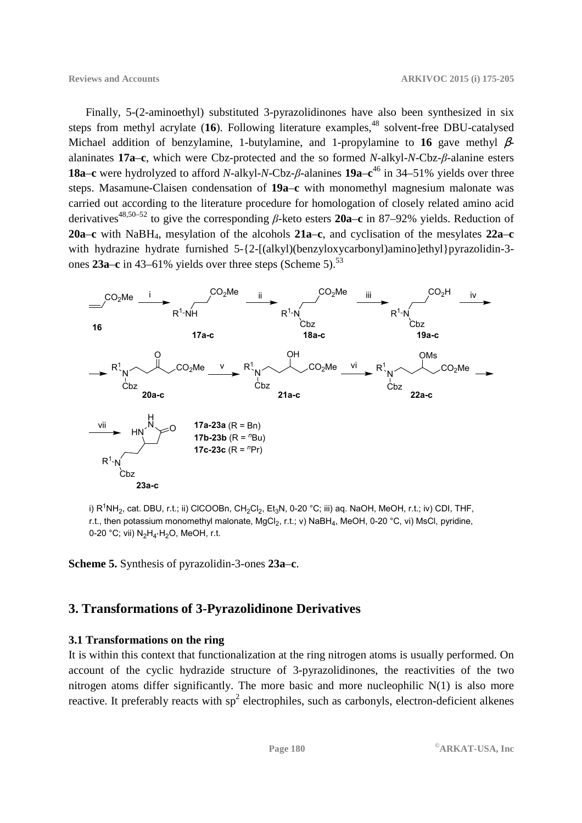Finally, 5-(2-aminoethyl) substituted 3-pyrazolidinones have also been synthesized in six steps from methyl acrylate (16). Following literature examples,<sup>48</sup> solvent-free DBU-catalysed Michael addition of benzylamine, 1-butylamine, and 1-propylamine to **16** gave methyl βalaninates **17a**–**c**, which were Cbz-protected and the so formed *N*-alkyl-*N*-Cbz-*β*-alanine esters **18a**–**c** were hydrolyzed to afford *N*-alkyl-*N*-Cbz-*β*-alanines **19a**–**c** <sup>46</sup> in 34–51% yields over three steps. Masamune-Claisen condensation of **19a**–**c** with monomethyl magnesium malonate was carried out according to the literature procedure for homologation of closely related amino acid derivatives48,50–52 to give the corresponding *β*-keto esters **20a**–**c** in 87–92% yields. Reduction of **20a**–**c** with NaBH4, mesylation of the alcohols **21a**–**c**, and cyclisation of the mesylates **22a**–**c** with hydrazine hydrate furnished 5-{2-[(alkyl)(benzyloxycarbonyl)amino]ethyl}pyrazolidin-3ones 23a–c in 43–61% yields over three steps (Scheme 5).<sup>53</sup>



i) R $^1$ NH<sub>2</sub>, cat. DBU, r.t.; ii) ClCOOBn, CH<sub>2</sub>Cl<sub>2</sub>, Et<sub>3</sub>N, 0-20 °C; iii) aq. NaOH, MeOH, r.t.; iv) CDI, THF, r.t., then potassium monomethyl malonate, MgCl<sub>2</sub>, r.t.; v) NaBH<sub>4</sub>, MeOH, 0-20 °C, vi) MsCl, pyridine, 0-20 °C; vii)  $N_2H_4H_2O$ , MeOH, r.t.

**Scheme 5.** Synthesis of pyrazolidin-3-ones **23a**–**c**.

## **3. Transformations of 3-Pyrazolidinone Derivatives**

#### **3.1 Transformations on the ring**

It is within this context that functionalization at the ring nitrogen atoms is usually performed. On account of the cyclic hydrazide structure of 3-pyrazolidinones, the reactivities of the two nitrogen atoms differ significantly. The more basic and more nucleophilic N(1) is also more reactive. It preferably reacts with  $sp^2$  electrophiles, such as carbonyls, electron-deficient alkenes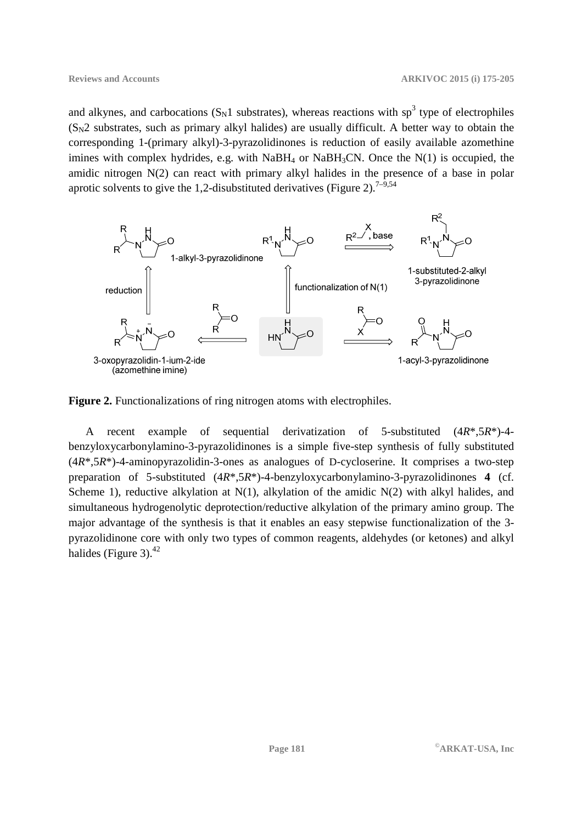and alkynes, and carbocations  $(S_N1$  substrates), whereas reactions with sp<sup>3</sup> type of electrophiles  $(S_N^2)$  substrates, such as primary alkyl halides) are usually difficult. A better way to obtain the corresponding 1-(primary alkyl)-3-pyrazolidinones is reduction of easily available azomethine imines with complex hydrides, e.g. with  $NaBH_4$  or  $NaBH_3CN$ . Once the  $N(1)$  is occupied, the amidic nitrogen N(2) can react with primary alkyl halides in the presence of a base in polar aprotic solvents to give the 1,2-disubstituted derivatives (Figure 2).<sup>7–9,54</sup>



**Figure 2.** Functionalizations of ring nitrogen atoms with electrophiles.

A recent example of sequential derivatization of 5-substituted (4*R*\*,5*R*\*)-4 benzyloxycarbonylamino-3-pyrazolidinones is a simple five-step synthesis of fully substituted (4*R*\*,5*R*\*)-4-aminopyrazolidin-3-ones as analogues of D-cycloserine. It comprises a two-step preparation of 5-substituted (4*R*\*,5*R*\*)-4-benzyloxycarbonylamino-3-pyrazolidinones **4** (cf. Scheme 1), reductive alkylation at  $N(1)$ , alkylation of the amidic  $N(2)$  with alkyl halides, and simultaneous hydrogenolytic deprotection/reductive alkylation of the primary amino group. The major advantage of the synthesis is that it enables an easy stepwise functionalization of the 3 pyrazolidinone core with only two types of common reagents, aldehydes (or ketones) and alkyl halides (Figure 3). $^{42}$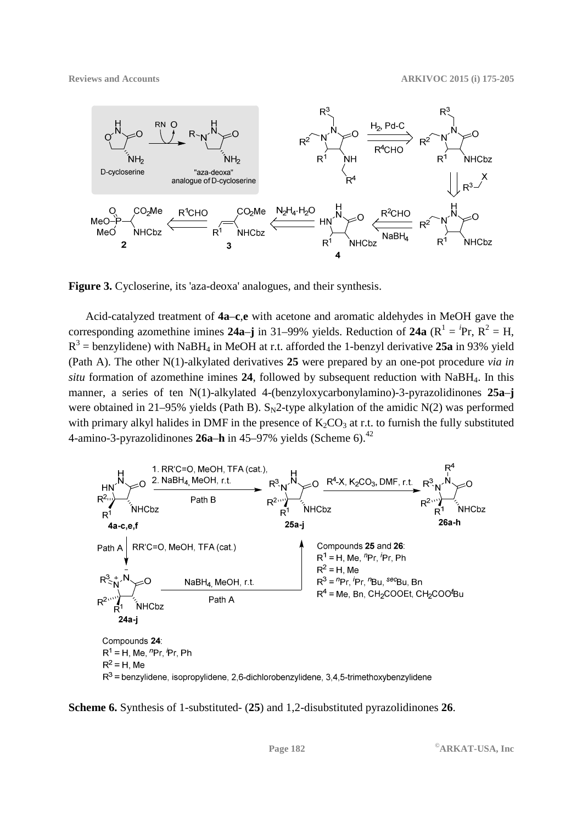

**Figure 3.** Cycloserine, its 'aza-deoxa' analogues, and their synthesis.

Acid-catalyzed treatment of **4a**–**c**,**e** with acetone and aromatic aldehydes in MeOH gave the corresponding azomethine imines **24a–j** in 31–99% yields. Reduction of **24a** ( $R^1 = {}^i Pr$ ,  $R^2 = H$ ,  $R^3$  = benzylidene) with NaBH<sub>4</sub> in MeOH at r.t. afforded the 1-benzyl derivative 25a in 93% yield (Path A). The other N(1)-alkylated derivatives **25** were prepared by an one-pot procedure *via in situ* formation of azomethine imines **24**, followed by subsequent reduction with NaBH4. In this manner, a series of ten N(1)-alkylated 4-(benzyloxycarbonylamino)-3-pyrazolidinones **25a**–**j** were obtained in 21–95% yields (Path B).  $S_N2$ -type alkylation of the amidic N(2) was performed with primary alkyl halides in DMF in the presence of  $K_2CO_3$  at r.t. to furnish the fully substituted 4-amino-3-pyrazolidinones 26a–h in 45–97% yields (Scheme 6).<sup>42</sup>



**Scheme 6.** Synthesis of 1-substituted- (**25**) and 1,2-disubstituted pyrazolidinones **26**.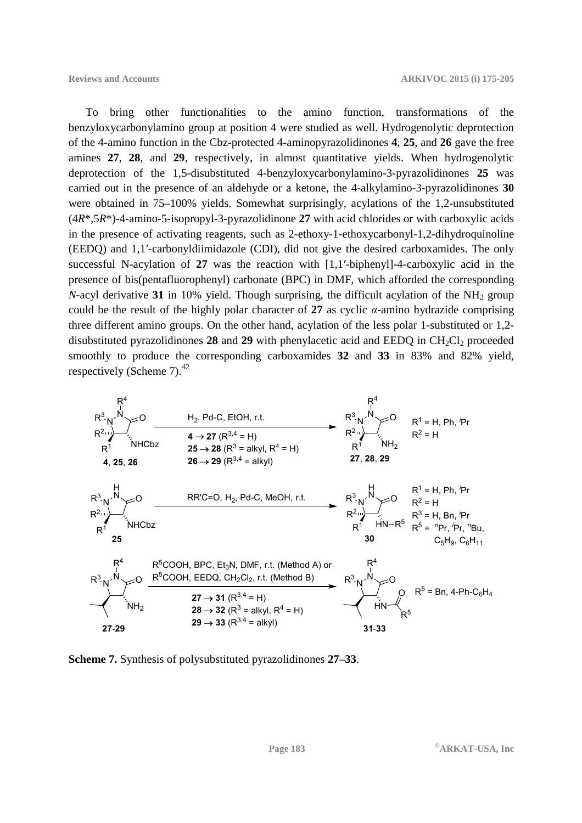To bring other functionalities to the amino function, transformations of the benzyloxycarbonylamino group at position 4 were studied as well. Hydrogenolytic deprotection of the 4-amino function in the Cbz-protected 4-aminopyrazolidinones **4**, **25**, and **26** gave the free amines **27**, **28**, and **29**, respectively, in almost quantitative yields. When hydrogenolytic deprotection of the 1,5-disubstituted 4-benzyloxycarbonylamino-3-pyrazolidinones **25** was carried out in the presence of an aldehyde or a ketone, the 4-alkylamino-3-pyrazolidinones **30** were obtained in 75–100% yields. Somewhat surprisingly, acylations of the 1,2-unsubstituted (4*R*\*,5*R*\*)-4-amino-5-isopropyl-3-pyrazolidinone **27** with acid chlorides or with carboxylic acids in the presence of activating reagents, such as 2-ethoxy-1-ethoxycarbonyl-1,2-dihydroquinoline (EEDQ) and 1,1′-carbonyldiimidazole (CDI), did not give the desired carboxamides. The only successful N-acylation of **27** was the reaction with [1,1′-biphenyl]-4-carboxylic acid in the presence of bis(pentafluorophenyl) carbonate (BPC) in DMF, which afforded the corresponding *N*-acyl derivative 31 in 10% yield. Though surprising, the difficult acylation of the NH<sub>2</sub> group could be the result of the highly polar character of **27** as cyclic *α*-amino hydrazide comprising three different amino groups. On the other hand, acylation of the less polar 1-substituted or 1,2 disubstituted pyrazolidinones 28 and 29 with phenylacetic acid and EEDQ in  $CH<sub>2</sub>Cl<sub>2</sub>$  proceeded smoothly to produce the corresponding carboxamides **32** and **33** in 83% and 82% yield, respectively (Scheme 7). $^{42}$ 



**Scheme 7.** Synthesis of polysubstituted pyrazolidinones **27**–**33**.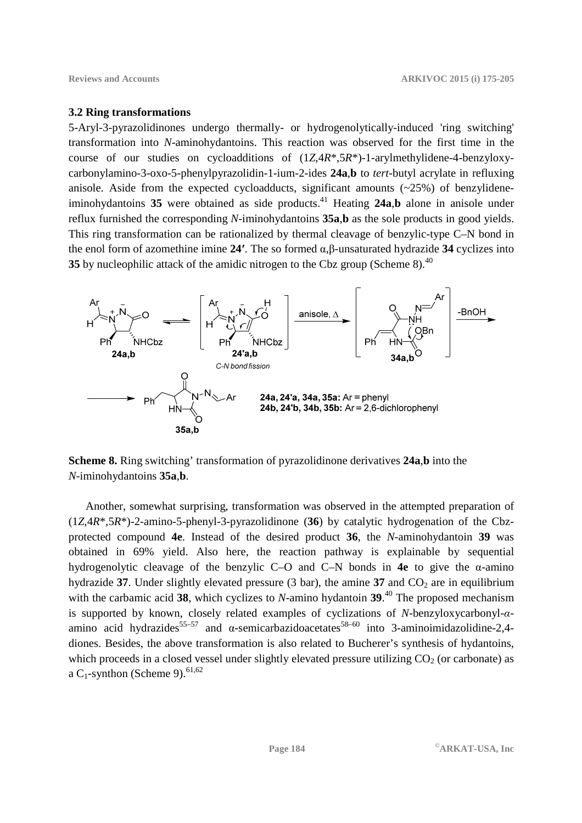#### **3.2 Ring transformations**

5-Aryl-3-pyrazolidinones undergo thermally- or hydrogenolytically-induced 'ring switching' transformation into *N*-aminohydantoins. This reaction was observed for the first time in the course of our studies on cycloadditions of (1*Z*,4*R*\*,5*R*\*)-1-arylmethylidene-4-benzyloxycarbonylamino-3-oxo-5-phenylpyrazolidin-1-ium-2-ides **24a**,**b** to *tert*-butyl acrylate in refluxing anisole. Aside from the expected cycloadducts, significant amounts  $(\sim 25\%)$  of benzylideneiminohydantoins  $35$  were obtained as side products.<sup>41</sup> Heating  $24a$ , b alone in anisole under reflux furnished the corresponding *N*-iminohydantoins **35a**,**b** as the sole products in good yields. This ring transformation can be rationalized by thermal cleavage of benzylic-type C–N bond in the enol form of azomethine imine **24′**. The so formed α,β-unsaturated hydrazide **34** cyclizes into **35** by nucleophilic attack of the amidic nitrogen to the Cbz group (Scheme 8).<sup>40</sup>



**Scheme 8.** Ring switching' transformation of pyrazolidinone derivatives **24a**,**b** into the *N*-iminohydantoins **35a**,**b**.

Another, somewhat surprising, transformation was observed in the attempted preparation of (1*Z*,4*R*\*,5*R*\*)-2-amino-5-phenyl-3-pyrazolidinone (**36**) by catalytic hydrogenation of the Cbzprotected compound **4e**. Instead of the desired product **36**, the *N*-aminohydantoin **39** was obtained in 69% yield. Also here, the reaction pathway is explainable by sequential hydrogenolytic cleavage of the benzylic C–O and C–N bonds in **4e** to give the α-amino hydrazide 37. Under slightly elevated pressure  $(3 \text{ bar})$ , the amine 37 and  $CO<sub>2</sub>$  are in equilibrium with the carbamic acid **38**, which cyclizes to *N*-amino hydantoin **39**. <sup>40</sup> The proposed mechanism is supported by known, closely related examples of cyclizations of *N*-benzyloxycarbonyl-*α*amino acid hydrazides<sup>55–57</sup> and  $\alpha$ -semicarbazidoacetates<sup>58–60</sup> into 3-aminoimidazolidine-2.4diones. Besides, the above transformation is also related to Bucherer's synthesis of hydantoins, which proceeds in a closed vessel under slightly elevated pressure utilizing  $CO<sub>2</sub>$  (or carbonate) as a C<sub>1</sub>-synthon (Scheme 9).<sup>61,62</sup>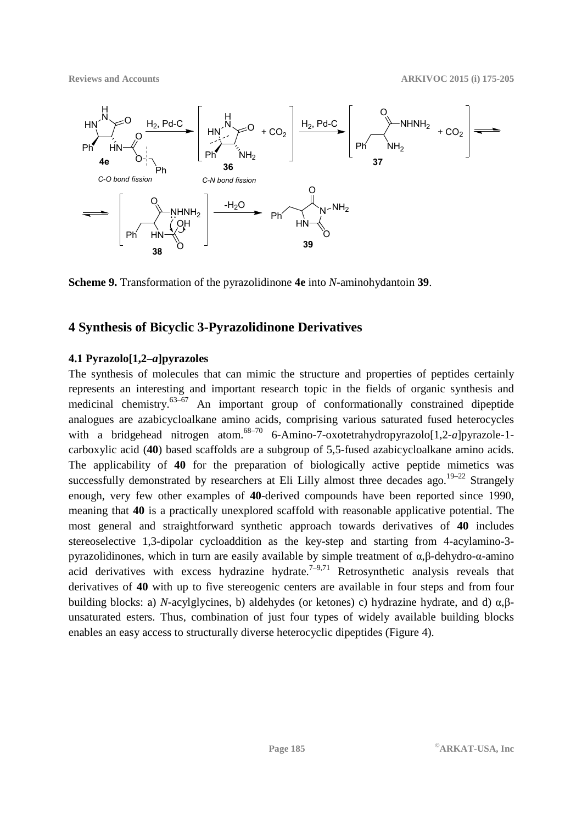**Reviews and Accounts ARKIVOC 2015 (i) 175-205** 



**Scheme 9.** Transformation of the pyrazolidinone **4e** into *N*-aminohydantoin **39**.

## **4 Synthesis of Bicyclic 3-Pyrazolidinone Derivatives**

### **4.1 Pyrazolo[1,2–***a***]pyrazoles**

The synthesis of molecules that can mimic the structure and properties of peptides certainly represents an interesting and important research topic in the fields of organic synthesis and medicinal chemistry. $63-67$  An important group of conformationally constrained dipeptide analogues are azabicycloalkane amino acids, comprising various saturated fused heterocycles with a bridgehead nitrogen atom.<sup>68–70</sup> 6-Amino-7-oxotetrahydropyrazolo<sup>[1</sup>], 2-*a*]pyrazole-1carboxylic acid (**40**) based scaffolds are a subgroup of 5,5-fused azabicycloalkane amino acids. The applicability of **40** for the preparation of biologically active peptide mimetics was successfully demonstrated by researchers at Eli Lilly almost three decades ago.<sup>19–22</sup> Strangely enough, very few other examples of **40**-derived compounds have been reported since 1990, meaning that **40** is a practically unexplored scaffold with reasonable applicative potential. The most general and straightforward synthetic approach towards derivatives of **40** includes stereoselective 1,3-dipolar cycloaddition as the key-step and starting from 4-acylamino-3 pyrazolidinones, which in turn are easily available by simple treatment of α,β-dehydro-α-amino acid derivatives with excess hydrazine hydrate.<sup> $7-9,71$ </sup> Retrosynthetic analysis reveals that derivatives of **40** with up to five stereogenic centers are available in four steps and from four building blocks: a) *N*-acylglycines, b) aldehydes (or ketones) c) hydrazine hydrate, and d) α,βunsaturated esters. Thus, combination of just four types of widely available building blocks enables an easy access to structurally diverse heterocyclic dipeptides (Figure 4).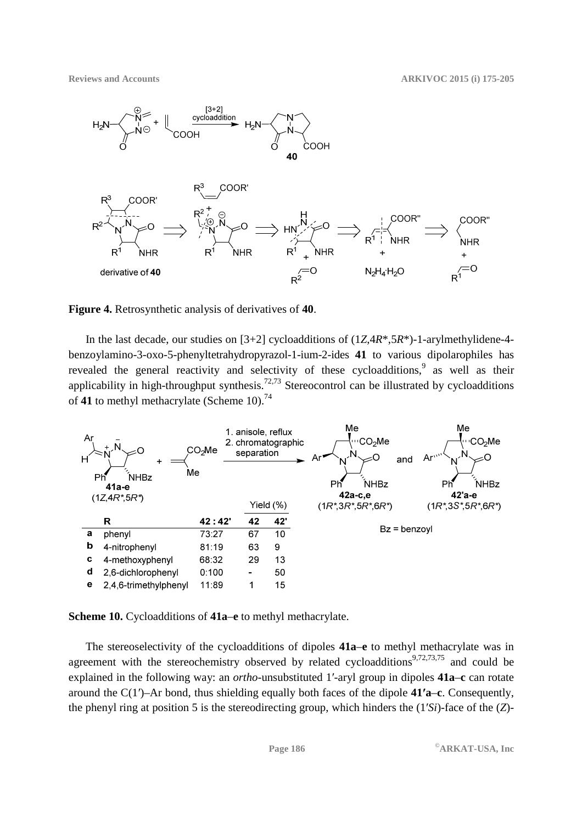

**Figure 4.** Retrosynthetic analysis of derivatives of **40**.

In the last decade, our studies on [3+2] cycloadditions of (1*Z*,4*R*\*,5*R*\*)-1-arylmethylidene-4 benzoylamino-3-oxo-5-phenyltetrahydropyrazol-1-ium-2-ides **41** to various dipolarophiles has revealed the general reactivity and selectivity of these cycloadditions, as well as their applicability in high-throughput synthesis.<sup>72,73</sup> Stereocontrol can be illustrated by cycloadditions of 41 to methyl methacrylate (Scheme 10).<sup>74</sup>



**Scheme 10.** Cycloadditions of **41a**–**e** to methyl methacrylate.

The stereoselectivity of the cycloadditions of dipoles **41a**–**e** to methyl methacrylate was in agreement with the stereochemistry observed by related cycloadditions<sup>9,72,73,75</sup> and could be explained in the following way: an *ortho*-unsubstituted 1′-aryl group in dipoles **41a**–**c** can rotate around the C(1′)–Ar bond, thus shielding equally both faces of the dipole **41′a**–**c**. Consequently, the phenyl ring at position 5 is the stereodirecting group, which hinders the (1′*Si*)-face of the (*Z*)-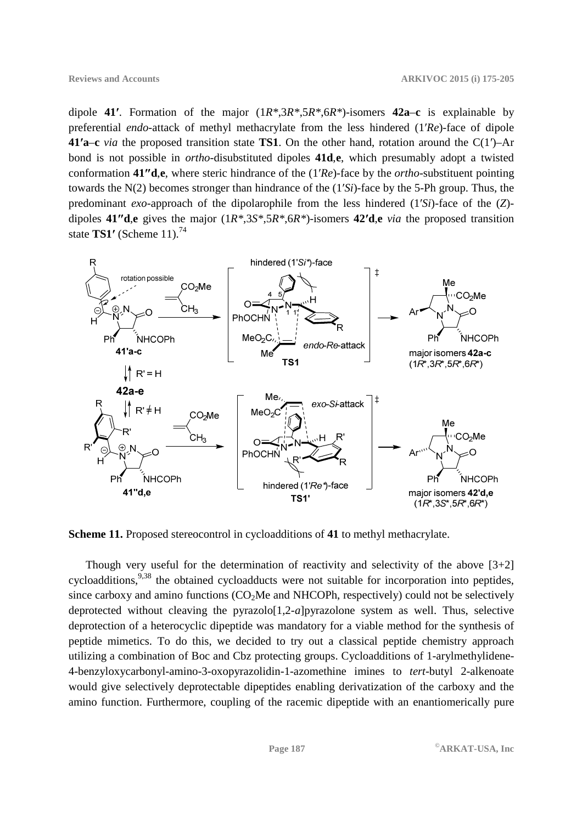dipole **41′**. Formation of the major (1*R\**,3*R\**,5*R\**,6*R\**)-isomers **42a**–**c** is explainable by preferential *endo*-attack of methyl methacrylate from the less hindered (1′*Re*)-face of dipole **41′a**–**c** *via* the proposed transition state **TS1**. On the other hand, rotation around the C(1′)–Ar bond is not possible in *ortho*-disubstituted dipoles **41d**,**e**, which presumably adopt a twisted conformation **41″d**,**e**, where steric hindrance of the (1′*Re*)-face by the *ortho*-substituent pointing towards the N(2) becomes stronger than hindrance of the (1′*Si*)-face by the 5-Ph group. Thus, the predominant *exo*-approach of the dipolarophile from the less hindered (1′*Si*)-face of the (*Z*) dipoles **41″d**,**e** gives the major (1*R\**,3*S\**,5*R\**,6*R\**)-isomers **42′d**,**e** *via* the proposed transition state **TS1′** (Scheme 11).<sup>74</sup>



**Scheme 11.** Proposed stereocontrol in cycloadditions of **41** to methyl methacrylate.

Though very useful for the determination of reactivity and selectivity of the above  $[3+2]$ cycloadditions,<sup>9,38</sup> the obtained cycloadducts were not suitable for incorporation into peptides, since carboxy and amino functions  $(CO<sub>2</sub>)$ Me and NHCOPh, respectively) could not be selectively deprotected without cleaving the pyrazolo $[1,2-a]$ pyrazolone system as well. Thus, selective deprotection of a heterocyclic dipeptide was mandatory for a viable method for the synthesis of peptide mimetics. To do this, we decided to try out a classical peptide chemistry approach utilizing a combination of Boc and Cbz protecting groups. Cycloadditions of 1-arylmethylidene-4-benzyloxycarbonyl-amino-3-oxopyrazolidin-1-azomethine imines to *tert*-butyl 2-alkenoate would give selectively deprotectable dipeptides enabling derivatization of the carboxy and the amino function. Furthermore, coupling of the racemic dipeptide with an enantiomerically pure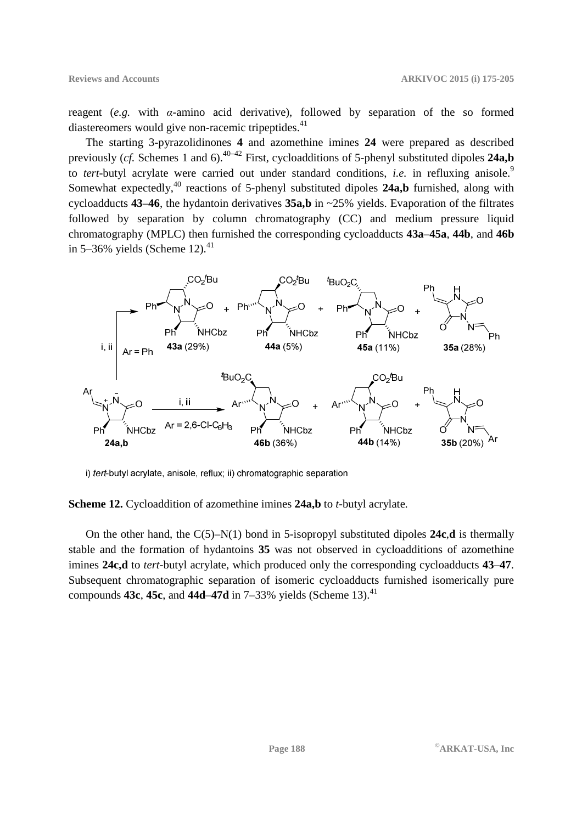reagent (*e.g.* with *α*-amino acid derivative), followed by separation of the so formed diastereomers would give non-racemic tripeptides. $41$ 

The starting 3-pyrazolidinones **4** and azomethine imines **24** were prepared as described previously (*cf.* Schemes 1 and 6).<sup>40–42</sup> First, cycloadditions of 5-phenyl substituted dipoles **24a,b** to *tert*-butyl acrylate were carried out under standard conditions, *i.e.* in refluxing anisole.<sup>9</sup> Somewhat expectedly,<sup>40</sup> reactions of 5-phenyl substituted dipoles **24a,b** furnished, along with cycloadducts **43**–**46**, the hydantoin derivatives **35a,b** in ~25% yields. Evaporation of the filtrates followed by separation by column chromatography (CC) and medium pressure liquid chromatography (MPLC) then furnished the corresponding cycloadducts **43a**–**45a**, **44b**, and **46b** in 5–36% yields (Scheme 12). $^{41}$ 



i) tert-butyl acrylate, anisole, reflux; ii) chromatographic separation

**Scheme 12.** Cycloaddition of azomethine imines **24a,b** to *t*-butyl acrylate.

On the other hand, the C(5)–N(1) bond in 5-isopropyl substituted dipoles **24c**,**d** is thermally stable and the formation of hydantoins **35** was not observed in cycloadditions of azomethine imines **24c,d** to *tert*-butyl acrylate, which produced only the corresponding cycloadducts **43**–**47**. Subsequent chromatographic separation of isomeric cycloadducts furnished isomerically pure compounds **43c**, **45c**, and **44d–47d** in  $7-33\%$  yields (Scheme 13).<sup>41</sup>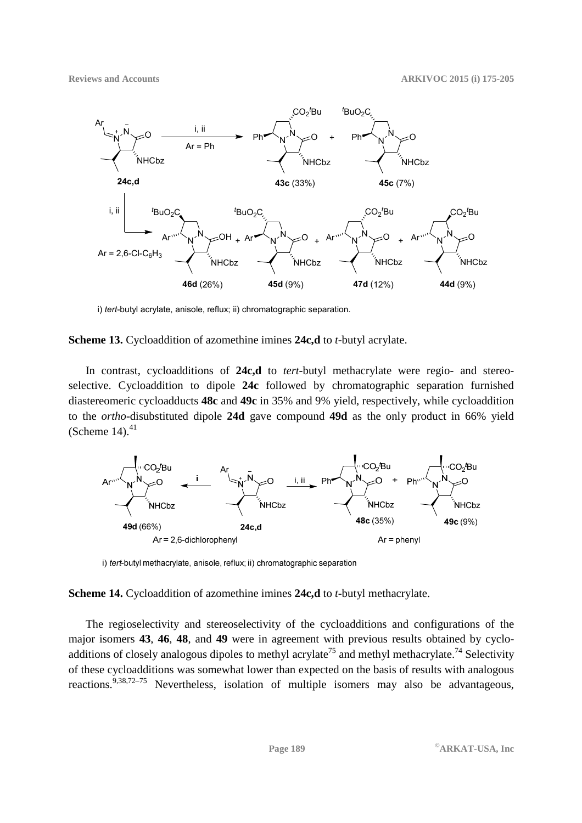

i) *tert*-butyl acrylate, anisole, reflux; ii) chromatographic separation.

#### **Scheme 13.** Cycloaddition of azomethine imines **24c,d** to *t*-butyl acrylate.

In contrast, cycloadditions of **24c,d** to *tert*-butyl methacrylate were regio- and stereoselective. Cycloaddition to dipole **24c** followed by chromatographic separation furnished diastereomeric cycloadducts **48c** and **49c** in 35% and 9% yield, respectively, while cycloaddition to the *ortho*-disubstituted dipole **24d** gave compound **49d** as the only product in 66% yield (Scheme 14). $41$ 



i) tert-butyl methacrylate, anisole, reflux; ii) chromatographic separation

**Scheme 14.** Cycloaddition of azomethine imines **24c,d** to *t*-butyl methacrylate.

The regioselectivity and stereoselectivity of the cycloadditions and configurations of the major isomers **43**, **46**, **48**, and **49** were in agreement with previous results obtained by cycloadditions of closely analogous dipoles to methyl acrylate<sup>75</sup> and methyl methacrylate.<sup>74</sup> Selectivity of these cycloadditions was somewhat lower than expected on the basis of results with analogous reactions.<sup>9,38,72–75</sup> Nevertheless, isolation of multiple isomers may also be advantageous,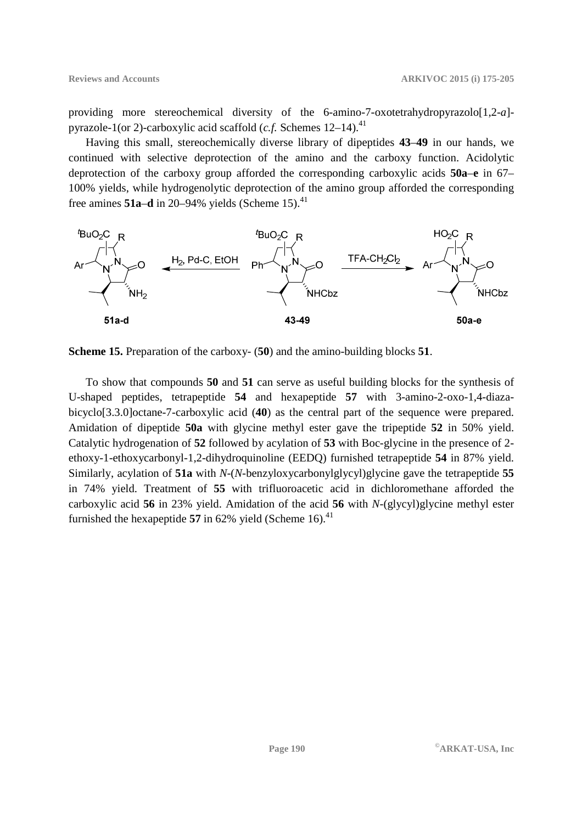providing more stereochemical diversity of the 6-amino-7-oxotetrahydropyrazolo<sup>[1,2-*a*]-</sup> pyrazole-1(or 2)-carboxylic acid scaffold  $(c.f.$  Schemes  $12-14$ ).<sup>41</sup>

Having this small, stereochemically diverse library of dipeptides **43**–**49** in our hands, we continued with selective deprotection of the amino and the carboxy function. Acidolytic deprotection of the carboxy group afforded the corresponding carboxylic acids **50a**–**e** in 67– 100% yields, while hydrogenolytic deprotection of the amino group afforded the corresponding free amines  $51a-d$  in 20–94% yields (Scheme 15).<sup>41</sup>



**Scheme 15.** Preparation of the carboxy- (**50**) and the amino-building blocks **51**.

To show that compounds **50** and **51** can serve as useful building blocks for the synthesis of U-shaped peptides, tetrapeptide **54** and hexapeptide **57** with 3-amino-2-oxo-1,4-diazabicyclo[3.3.0]octane-7-carboxylic acid (**40**) as the central part of the sequence were prepared. Amidation of dipeptide **50a** with glycine methyl ester gave the tripeptide **52** in 50% yield. Catalytic hydrogenation of **52** followed by acylation of **53** with Boc-glycine in the presence of 2 ethoxy-1-ethoxycarbonyl-1,2-dihydroquinoline (EEDQ) furnished tetrapeptide **54** in 87% yield. Similarly, acylation of **51a** with *N*-(*N*-benzyloxycarbonylglycyl)glycine gave the tetrapeptide **55** in 74% yield. Treatment of **55** with trifluoroacetic acid in dichloromethane afforded the carboxylic acid **56** in 23% yield. Amidation of the acid **56** with *N*-(glycyl)glycine methyl ester furnished the hexapeptide  $57$  in  $62\%$  yield (Scheme 16).<sup>41</sup>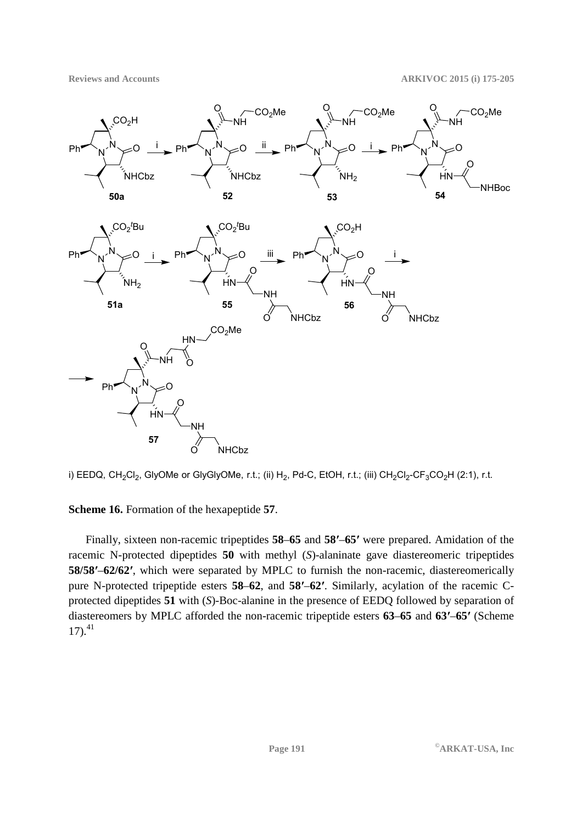**Reviews and Accounts ARKIVOC 2015 (i) 175-205** 





## **Scheme 16.** Formation of the hexapeptide **57**.

Finally, sixteen non-racemic tripeptides **58**–**65** and **58′**–**65′** were prepared. Amidation of the racemic N-protected dipeptides **50** with methyl (*S*)-alaninate gave diastereomeric tripeptides **58/58′**–**62/62′**, which were separated by MPLC to furnish the non-racemic, diastereomerically pure N-protected tripeptide esters **58**–**62**, and **58′**–**62′**. Similarly, acylation of the racemic Cprotected dipeptides **51** with (*S*)-Boc-alanine in the presence of EEDQ followed by separation of diastereomers by MPLC afforded the non-racemic tripeptide esters **63**–**65** and **63′**–**65′** (Scheme  $17)$ .<sup>41</sup>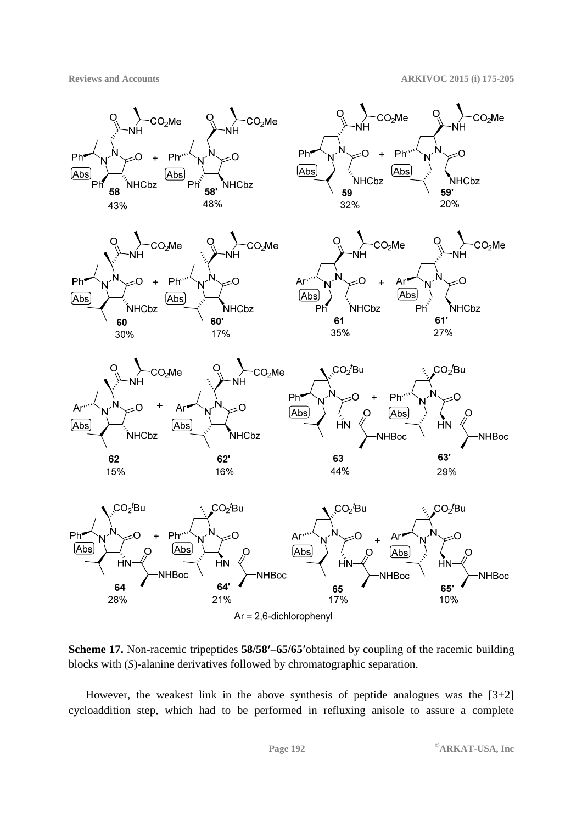

**Scheme 17.** Non-racemic tripeptides **58/58′**–**65/65′**obtained by coupling of the racemic building blocks with (*S*)-alanine derivatives followed by chromatographic separation.

However, the weakest link in the above synthesis of peptide analogues was the  $[3+2]$ cycloaddition step, which had to be performed in refluxing anisole to assure a complete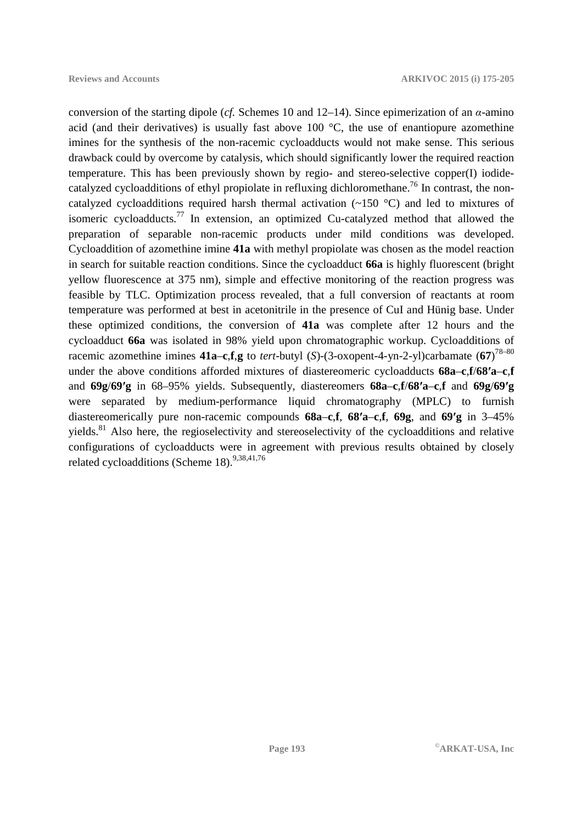conversion of the starting dipole (*cf.* Schemes 10 and 12–14). Since epimerization of an *α*-amino acid (and their derivatives) is usually fast above 100  $\degree$ C, the use of enantiopure azomethine imines for the synthesis of the non-racemic cycloadducts would not make sense. This serious drawback could by overcome by catalysis, which should significantly lower the required reaction temperature. This has been previously shown by regio- and stereo-selective copper(I) iodidecatalyzed cycloadditions of ethyl propiolate in refluxing dichloromethane.<sup>76</sup> In contrast, the noncatalyzed cycloadditions required harsh thermal activation (~150 °C) and led to mixtures of isomeric cycloadducts.<sup>77</sup> In extension, an optimized Cu-catalyzed method that allowed the preparation of separable non-racemic products under mild conditions was developed. Cycloaddition of azomethine imine **41a** with methyl propiolate was chosen as the model reaction in search for suitable reaction conditions. Since the cycloadduct **66a** is highly fluorescent (bright yellow fluorescence at 375 nm), simple and effective monitoring of the reaction progress was feasible by TLC. Optimization process revealed, that a full conversion of reactants at room temperature was performed at best in acetonitrile in the presence of CuI and Hünig base. Under these optimized conditions, the conversion of **41a** was complete after 12 hours and the cycloadduct **66a** was isolated in 98% yield upon chromatographic workup. Cycloadditions of racemic azomethine imines **41a**–**c**,**f**,**g** to *tert*-butyl (*S*)-(3-oxopent-4-yn-2-yl)carbamate (**67**) 78–80 under the above conditions afforded mixtures of diastereomeric cycloadducts **68a**–**c**,**f**/**68′a**–**c**,**f** and **69g**/**69′g** in 68–95% yields. Subsequently, diastereomers **68a**–**c**,**f**/**68′a**–**c**,**f** and **69g**/**69′g** were separated by medium-performance liquid chromatography (MPLC) to furnish diastereomerically pure non-racemic compounds **68a**–**c**,**f**, **68′a**–**c**,**f**, **69g**, and **69′g** in 3–45% yields.<sup>81</sup> Also here, the regioselectivity and stereoselectivity of the cycloadditions and relative configurations of cycloadducts were in agreement with previous results obtained by closely related cycloadditions (Scheme 18).<sup>9,38,41,76</sup>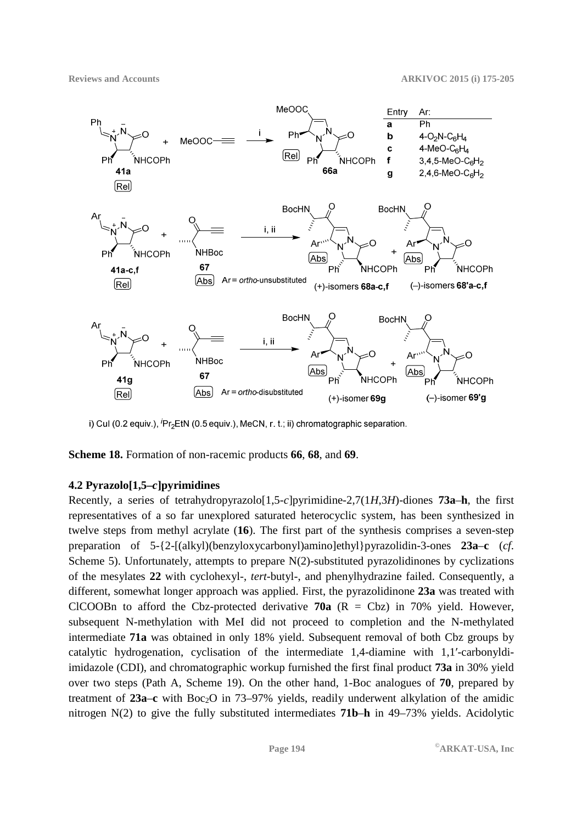![](_page_19_Figure_2.jpeg)

i) Cul (0.2 equiv.), Pr<sub>2</sub>EtN (0.5 equiv.), MeCN, r. t.; ii) chromatographic separation.

**Scheme 18.** Formation of non-racemic products **66**, **68**, and **69**.

## **4.2 Pyrazolo[1,5–***c***]pyrimidines**

Recently, a series of tetrahydropyrazolo[1,5-*c*]pyrimidine-2,7(1*H*,3*H*)-diones **73a**–**h**, the first representatives of a so far unexplored saturated heterocyclic system, has been synthesized in twelve steps from methyl acrylate (**16**). The first part of the synthesis comprises a seven-step preparation of 5-{2-[(alkyl)(benzyloxycarbonyl)amino]ethyl}pyrazolidin-3-ones **23a**–**c** (*cf*. Scheme 5). Unfortunately, attempts to prepare N(2)-substituted pyrazolidinones by cyclizations of the mesylates **22** with cyclohexyl-, *tert*-butyl-, and phenylhydrazine failed. Consequently, a different, somewhat longer approach was applied. First, the pyrazolidinone **23a** was treated with CICOOBn to afford the Cbz-protected derivative  $70a$  (R = Cbz) in 70% yield. However, subsequent N-methylation with MeI did not proceed to completion and the N-methylated intermediate **71a** was obtained in only 18% yield. Subsequent removal of both Cbz groups by catalytic hydrogenation, cyclisation of the intermediate 1,4-diamine with 1,1′-carbonyldiimidazole (CDI), and chromatographic workup furnished the first final product **73a** in 30% yield over two steps (Path A, Scheme 19). On the other hand, 1-Boc analogues of **70**, prepared by treatment of 23a–c with Boc<sub>2</sub>O in 73–97% yields, readily underwent alkylation of the amidic nitrogen N(2) to give the fully substituted intermediates **71b**–**h** in 49–73% yields. Acidolytic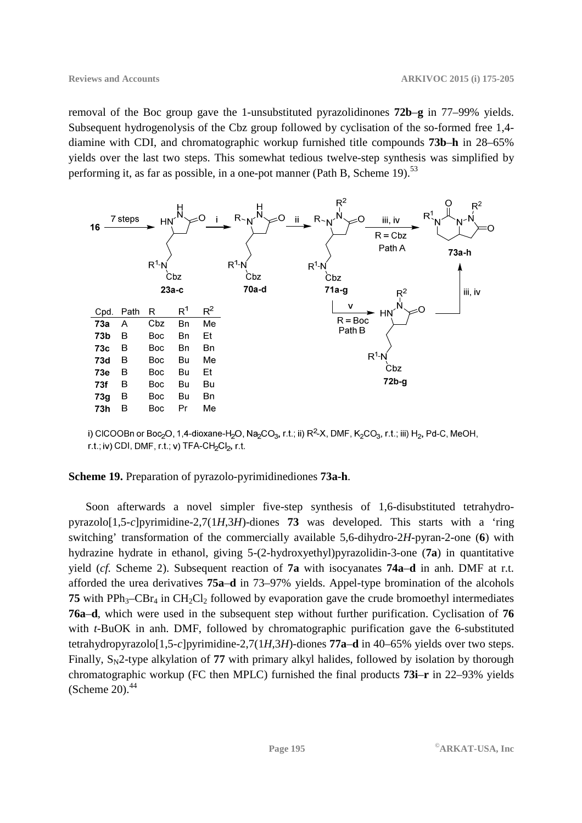removal of the Boc group gave the 1-unsubstituted pyrazolidinones **72b**–**g** in 77–99% yields. Subsequent hydrogenolysis of the Cbz group followed by cyclisation of the so-formed free 1,4 diamine with CDI, and chromatographic workup furnished title compounds **73b**–**h** in 28–65% yields over the last two steps. This somewhat tedious twelve-step synthesis was simplified by performing it, as far as possible, in a one-pot manner (Path B, Scheme 19).<sup>53</sup>

![](_page_20_Figure_3.jpeg)

i) CICOOBn or Boc<sub>2</sub>O, 1,4-dioxane-H<sub>2</sub>O, Na<sub>2</sub>CO<sub>3</sub>, r.t.; ii) R<sup>2</sup>-X, DMF, K<sub>2</sub>CO<sub>3</sub>, r.t.; iii) H<sub>2</sub>, Pd-C, MeOH, r.t.; iv) CDI, DMF, r.t.; v) TFA-CH<sub>2</sub>Cl<sub>2</sub>, r.t.

#### **Scheme 19.** Preparation of pyrazolo-pyrimidinediones **73a-h**.

Soon afterwards a novel simpler five-step synthesis of 1,6-disubstituted tetrahydropyrazolo[1,5-*c*]pyrimidine-2,7(1*H*,3*H*)-diones **73** was developed. This starts with a 'ring switching' transformation of the commercially available 5,6-dihydro-2*H*-pyran-2-one (**6**) with hydrazine hydrate in ethanol, giving 5-(2-hydroxyethyl)pyrazolidin-3-one (**7a**) in quantitative yield (*cf.* Scheme 2). Subsequent reaction of **7a** with isocyanates **74a**–**d** in anh. DMF at r.t. afforded the urea derivatives **75a**–**d** in 73–97% yields. Appel-type bromination of the alcohols **75** with PPh<sub>3</sub>–CBr<sub>4</sub> in CH<sub>2</sub>Cl<sub>2</sub> followed by evaporation gave the crude bromoethyl intermediates **76a**–**d**, which were used in the subsequent step without further purification. Cyclisation of **76** with *t*-BuOK in anh. DMF, followed by chromatographic purification gave the 6-substituted tetrahydropyrazolo[1,5-*c*]pyrimidine-2,7(1*H*,3*H*)-diones **77a**–**d** in 40–65% yields over two steps. Finally,  $S<sub>N</sub>2$ -type alkylation of 77 with primary alkyl halides, followed by isolation by thorough chromatographic workup (FC then MPLC) furnished the final products **73i**–**r** in 22–93% yields (Scheme 20). $44$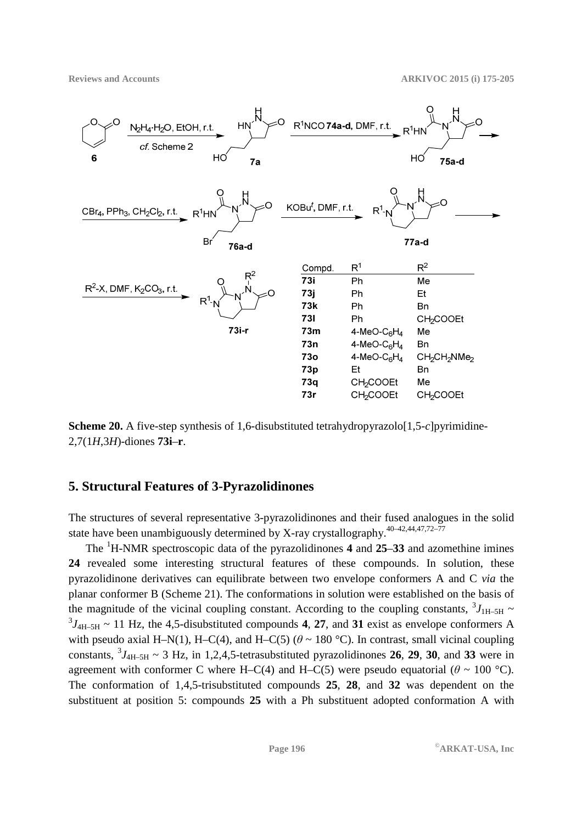![](_page_21_Figure_2.jpeg)

**Scheme 20.** A five-step synthesis of 1,6-disubstituted tetrahydropyrazolo[1,5-*c*]pyrimidine-2,7(1*H*,3*H*)-diones **73i**–**r**.

### **5. Structural Features of 3-Pyrazolidinones**

The structures of several representative 3-pyrazolidinones and their fused analogues in the solid state have been unambiguously determined by X-ray crystallography.<sup>40-42,44,47,72-77</sup>

The <sup>1</sup>H-NMR spectroscopic data of the pyrazolidinones **4** and **25**–**33** and azomethine imines **24** revealed some interesting structural features of these compounds. In solution, these pyrazolidinone derivatives can equilibrate between two envelope conformers A and C *via* the planar conformer B (Scheme 21). The conformations in solution were established on the basis of the magnitude of the vicinal coupling constant. According to the coupling constants,  $\frac{3J_{\text{H-5H}}}{\text{m}}$  ${}^{3}J_{4H-5H}$  ~ 11 Hz, the 4,5-disubstituted compounds 4, 27, and 31 exist as envelope conformers A with pseudo axial H–N(1), H–C(4), and H–C(5) ( $\theta \sim 180$  °C). In contrast, small vicinal coupling constants,  ${}^{3}J_{4H-5H} \sim 3$  Hz, in 1,2,4,5-tetrasubstituted pyrazolidinones 26, 29, 30, and 33 were in agreement with conformer C where H–C(4) and H–C(5) were pseudo equatorial ( $\theta \sim 100$  °C). The conformation of 1,4,5-trisubstituted compounds **25**, **28**, and **32** was dependent on the substituent at position 5: compounds **25** with a Ph substituent adopted conformation A with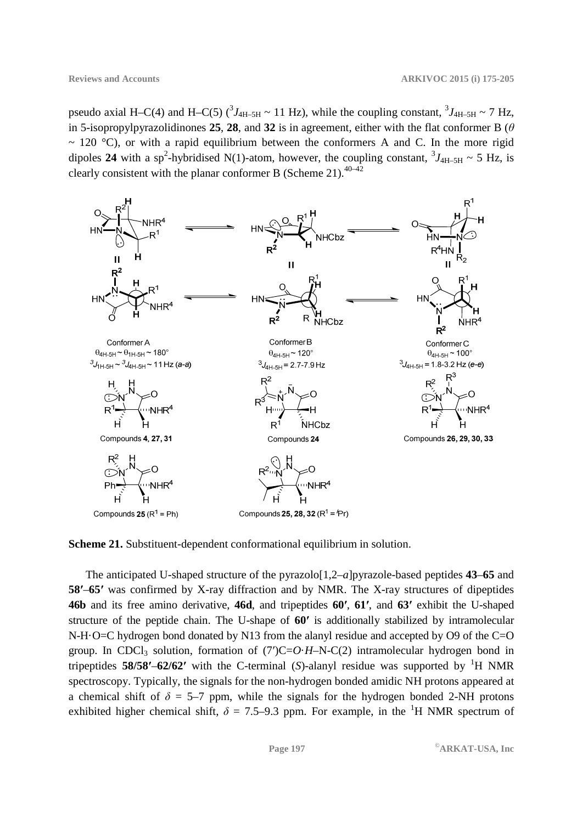pseudo axial H–C(4) and H–C(5)  $({}^3J_{4H-5H} \sim 11$  Hz), while the coupling constant,  ${}^3J_{4H-5H} \sim 7$  Hz, in 5-isopropylpyrazolidinones **25**, **28**, and **32** is in agreement, either with the flat conformer B ( $\theta$  $\sim$  120 °C), or with a rapid equilibrium between the conformers A and C. In the more rigid dipoles 24 with a sp<sup>2</sup>-hybridised N(1)-atom, however, the coupling constant,  ${}^3J_{4H-5H} \sim 5$  Hz, is clearly consistent with the planar conformer B (Scheme 21).<sup>40–42</sup>

![](_page_22_Figure_3.jpeg)

**Scheme 21.** Substituent-dependent conformational equilibrium in solution.

The anticipated U-shaped structure of the pyrazolo[1,2–*a*]pyrazole-based peptides **43**–**65** and **58′**–**65′** was confirmed by X-ray diffraction and by NMR. The X-ray structures of dipeptides **46b** and its free amino derivative, **46d**, and tripeptides **60′**, **61′**, and **63′** exhibit the U-shaped structure of the peptide chain. The U-shape of **60′** is additionally stabilized by intramolecular N-H·O=C hydrogen bond donated by N13 from the alanyl residue and accepted by O9 of the C=O group. In CDCl<sub>3</sub> solution, formation of  $(7')C=O<sup>+</sup>-N-C(2)$  intramolecular hydrogen bond in tripeptides **58/58'–62/62'** with the C-terminal (*S*)-alanyl residue was supported by <sup>1</sup>H NMR spectroscopy. Typically, the signals for the non-hydrogen bonded amidic NH protons appeared at a chemical shift of  $\delta = 5-7$  ppm, while the signals for the hydrogen bonded 2-NH protons exhibited higher chemical shift,  $\delta = 7.5{\text -}9.3$  ppm. For example, in the <sup>1</sup>H NMR spectrum of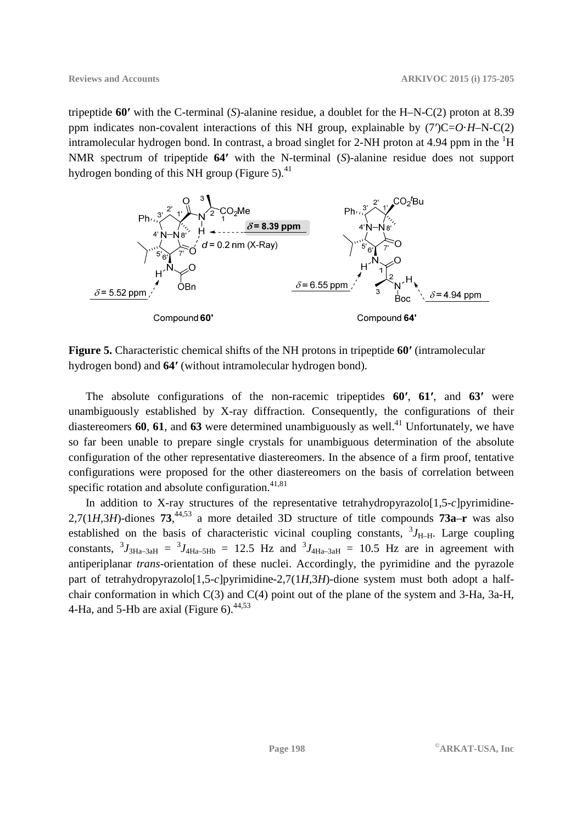tripeptide **60′** with the C-terminal (*S*)-alanine residue, a doublet for the H–N-C(2) proton at 8.39 ppm indicates non-covalent interactions of this NH group, explainable by (7′)C=*O*·*H*–N-C(2) intramolecular hydrogen bond. In contrast, a broad singlet for 2-NH proton at 4.94 ppm in the <sup>1</sup>H NMR spectrum of tripeptide **64′** with the N-terminal (*S*)-alanine residue does not support hydrogen bonding of this NH group (Figure 5). $41$ 

![](_page_23_Figure_3.jpeg)

**Figure 5.** Characteristic chemical shifts of the NH protons in tripeptide **60′** (intramolecular hydrogen bond) and **64′** (without intramolecular hydrogen bond).

The absolute configurations of the non-racemic tripeptides **60′**, **61′**, and **63′** were unambiguously established by X-ray diffraction. Consequently, the configurations of their diastereomers  $60$ ,  $61$ , and  $63$  were determined unambiguously as well.<sup>41</sup> Unfortunately, we have so far been unable to prepare single crystals for unambiguous determination of the absolute configuration of the other representative diastereomers. In the absence of a firm proof, tentative configurations were proposed for the other diastereomers on the basis of correlation between specific rotation and absolute configuration. $41,81$ 

In addition to X-ray structures of the representative tetrahydropyrazolo[1,5-*c*]pyrimidine-2,7(1*H*,3*H*)-diones **73**, 44,53 a more detailed 3D structure of title compounds **73a**–**r** was also established on the basis of characteristic vicinal coupling constants,  ${}^{3}J_{\text{H-H}}$ . Large coupling constants,  ${}^{3}J_{3Ha-3aH} = {}^{3}J_{4Ha-5Hb} = 12.5$  Hz and  ${}^{3}J_{4Ha-3aH} = 10.5$  Hz are in agreement with antiperiplanar *trans*-orientation of these nuclei. Accordingly, the pyrimidine and the pyrazole part of tetrahydropyrazolo[1,5-*c*]pyrimidine-2,7(1*H*,3*H*)-dione system must both adopt a halfchair conformation in which C(3) and C(4) point out of the plane of the system and 3-Ha, 3a-H, 4-Ha, and 5-Hb are axial (Figure 6).  $44,53$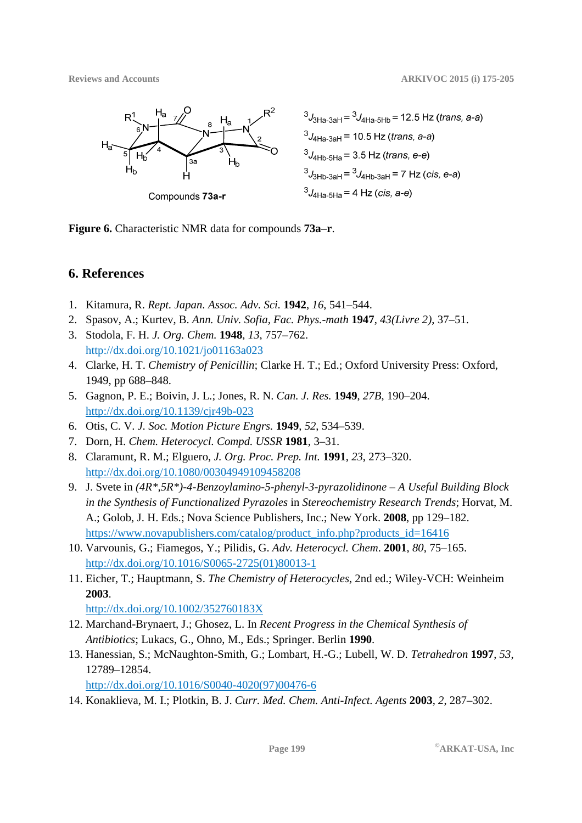![](_page_24_Figure_2.jpeg)

 $3J_{3Ha-3aH} = 3J_{4Ha-5Hb} = 12.5 Hz (trans, a-a)$  $3J_{\text{4Ha-3aH}} = 10.5 \text{ Hz (trans, a-a)}$  $3J_{4Hb-5Ha} = 3.5 Hz$  (trans, e-e)  $3J_{3Hb-3aH} = 3J_{4Hb-3aH} = 7 Hz (cis, e-a)$  $3J_{4Ha-5Ha}$  = 4 Hz (cis, a-e)

**Figure 6.** Characteristic NMR data for compounds **73a**–**r**.

# **6. References**

- 1. Kitamura, R. *Rept. Japan. Assoc. Adv. Sci.* **1942**, *16*, 541–544.
- 2. Spasov, A.; Kurtev, B. *Ann. Univ. Sofia, Fac. Phys.-math* **1947**, *43(Livre 2)*, 37–51.
- 3. Stodola, F. H. *J. Org. Chem.* **1948**, *13*, 757–762. http://dx.doi.org/10.1021/jo01163a023
- 4. Clarke, H. T. *Chemistry of Penicillin*; Clarke H. T.; Ed.; Oxford University Press: Oxford, 1949, pp 688–848.
- 5. Gagnon, P. E.; Boivin, J. L.; Jones, R. N. *Can. J. Res.* **1949**, *27B*, 190–204. http://dx.doi.org/10.1139/cjr49b-023
- 6. Otis, C. V. *J. Soc. Motion Picture Engrs.* **1949**, *52*, 534–539.
- 7. Dorn, H. *Chem. Heterocycl. Compd. USSR* **1981**, 3–31.
- 8. Claramunt, R. M.; Elguero, *J. Org. Proc. Prep. Int.* **1991**, *23*, 273–320. http://dx.doi.org/10.1080/00304949109458208
- 9. J. Svete in *(4R\*,5R\*)-4-Benzoylamino-5-phenyl-3-pyrazolidinone A Useful Building Block in the Synthesis of Functionalized Pyrazoles* in *Stereochemistry Research Trends*; Horvat, M. A.; Golob, J. H. Eds.; Nova Science Publishers, Inc.; New York. **2008**, pp 129–182. https://www.novapublishers.com/catalog/product\_info.php?products\_id=16416
- 10. Varvounis, G.; Fiamegos, Y.; Pilidis, G. *Adv. Heterocycl. Chem*. **2001**, *80*, 75–165. http://dx.doi.org/10.1016/S0065-2725(01)80013-1
- 11. Eicher, T.; Hauptmann, S. *The Chemistry of Heterocycles*, 2nd ed.; Wiley-VCH: Weinheim **2003**.

http://dx.doi.org/10.1002/352760183X

- 12. Marchand-Brynaert, J.; Ghosez, L. In *Recent Progress in the Chemical Synthesis of Antibiotics*; Lukacs, G., Ohno, M., Eds.; Springer. Berlin **1990**.
- 13. Hanessian, S.; McNaughton-Smith, G.; Lombart, H.-G.; Lubell, W. D. *Tetrahedron* **1997**, *53*, 12789–12854.

http://dx.doi.org/10.1016/S0040-4020(97)00476-6

14. Konaklieva, M. I.; Plotkin, B. J. *Curr. Med. Chem. Anti-Infect. Agents* **2003**, *2*, 287–302.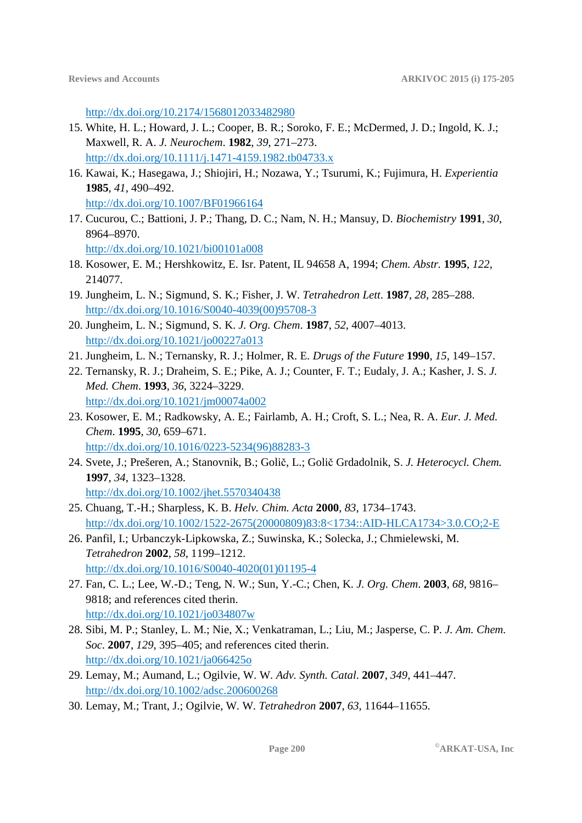http://dx.doi.org/10.2174/1568012033482980

- 15. White, H. L.; Howard, J. L.; Cooper, B. R.; Soroko, F. E.; McDermed, J. D.; Ingold, K. J.; Maxwell, R. A. *J. Neurochem*. **1982**, *39*, 271–273. http://dx.doi.org/10.1111/j.1471-4159.1982.tb04733.x
- 16. Kawai, K.; Hasegawa, J.; Shiojiri, H.; Nozawa, Y.; Tsurumi, K.; Fujimura, H. *Experientia* **1985**, *41*, 490–492. http://dx.doi.org/10.1007/BF01966164
- 17. Cucurou, C.; Battioni, J. P.; Thang, D. C.; Nam, N. H.; Mansuy, D. *Biochemistry* **1991**, *30*, 8964–8970.

http://dx.doi.org/10.1021/bi00101a008

- 18. Kosower, E. M.; Hershkowitz, E. Isr. Patent, IL 94658 A, 1994; *Chem. Abstr.* **1995**, *122*, 214077.
- 19. Jungheim, L. N.; Sigmund, S. K.; Fisher, J. W. *Tetrahedron Lett*. **1987**, *28*, 285–288. http://dx.doi.org/10.1016/S0040-4039(00)95708-3
- 20. Jungheim, L. N.; Sigmund, S. K. *J. Org. Chem*. **1987**, *52*, 4007–4013. http://dx.doi.org/10.1021/jo00227a013
- 21. Jungheim, L. N.; Ternansky, R. J.; Holmer, R. E. *Drugs of the Future* **1990**, *15*, 149–157.
- 22. Ternansky, R. J.; Draheim, S. E.; Pike, A. J.; Counter, F. T.; Eudaly, J. A.; Kasher, J. S. *J. Med. Chem*. **1993**, *36*, 3224–3229. http://dx.doi.org/10.1021/jm00074a002
- 23. Kosower, E. M.; Radkowsky, A. E.; Fairlamb, A. H.; Croft, S. L.; Nea, R. A. *Eur. J. Med. Chem*. **1995**, *30*, 659–671. http://dx.doi.org/10.1016/0223-5234(96)88283-3
- 24. Svete, J.; Prešeren, A.; Stanovnik, B.; Golič, L.; Golič Grdadolnik, S. *J. Heterocycl. Chem.*  **1997**, *34*, 1323–1328. http://dx.doi.org/10.1002/jhet.5570340438
- 25. Chuang, T.-H.; Sharpless, K. B. *Helv. Chim. Acta* **2000**, *83*, 1734–1743. http://dx.doi.org/10.1002/1522-2675(20000809)83:8<1734::AID-HLCA1734>3.0.CO;2-E
- 26. Panfil, I.; Urbanczyk-Lipkowska, Z.; Suwinska, K.; Solecka, J.; Chmielewski, M. *Tetrahedron* **2002**, *58*, 1199–1212. http://dx.doi.org/10.1016/S0040-4020(01)01195-4
- 27. Fan, C. L.; Lee, W.-D.; Teng, N. W.; Sun, Y.-C.; Chen, K. *J. Org. Chem*. **2003**, *68*, 9816– 9818; and references cited therin. http://dx.doi.org/10.1021/jo034807w
- 28. Sibi, M. P.; Stanley, L. M.; Nie, X.; Venkatraman, L.; Liu, M.; Jasperse, C. P. *J. Am. Chem. Soc*. **2007**, *129*, 395–405; and references cited therin. http://dx.doi.org/10.1021/ja066425o
- 29. Lemay, M.; Aumand, L.; Ogilvie, W. W. *Adv. Synth. Catal*. **2007**, *349*, 441–447. http://dx.doi.org/10.1002/adsc.200600268
- 30. Lemay, M.; Trant, J.; Ogilvie, W. W. *Tetrahedron* **2007**, *63*, 11644–11655.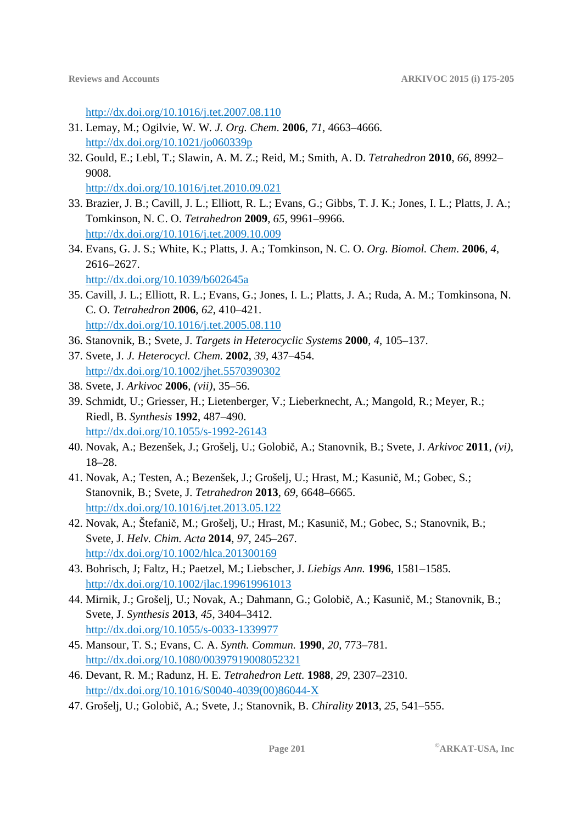http://dx.doi.org/10.1016/j.tet.2007.08.110

- 31. Lemay, M.; Ogilvie, W. W. *J. Org. Chem*. **2006**, *71*, 4663–4666. http://dx.doi.org/10.1021/jo060339p
- 32. Gould, E.; Lebl, T.; Slawin, A. M. Z.; Reid, M.; Smith, A. D. *Tetrahedron* **2010**, *66*, 8992– 9008.

http://dx.doi.org/10.1016/j.tet.2010.09.021

- 33. Brazier, J. B.; Cavill, J. L.; Elliott, R. L.; Evans, G.; Gibbs, T. J. K.; Jones, I. L.; Platts, J. A.; Tomkinson, N. C. O. *Tetrahedron* **2009**, *65*, 9961–9966. http://dx.doi.org/10.1016/j.tet.2009.10.009
- 34. Evans, G. J. S.; White, K.; Platts, J. A.; Tomkinson, N. C. O. *Org. Biomol. Chem*. **2006**, *4*, 2616–2627. http://dx.doi.org/10.1039/b602645a
- 35. Cavill, J. L.; Elliott, R. L.; Evans, G.; Jones, I. L.; Platts, J. A.; Ruda, A. M.; Tomkinsona, N. C. O. *Tetrahedron* **2006**, *62*, 410–421. http://dx.doi.org/10.1016/j.tet.2005.08.110
- 36. Stanovnik, B.; Svete, J. *Targets in Heterocyclic Systems* **2000**, *4*, 105–137.
- 37. Svete, J. *J. Heterocycl. Chem.* **2002**, *39*, 437–454. http://dx.doi.org/10.1002/jhet.5570390302
- 38. Svete, J. *Arkivoc* **2006**, *(vii)*, 35–56.
- 39. Schmidt, U.; Griesser, H.; Lietenberger, V.; Lieberknecht, A.; Mangold, R.; Meyer, R.; Riedl, B. *Synthesis* **1992**, 487–490. http://dx.doi.org/10.1055/s-1992-26143
- 40. Novak, A.; Bezenšek, J.; Grošelj, U.; Golobič, A.; Stanovnik, B.; Svete, J. *Arkivoc* **2011**, *(vi)*, 18–28.
- 41. Novak, A.; Testen, A.; Bezenšek, J.; Grošelj, U.; Hrast, M.; Kasunič, M.; Gobec, S.; Stanovnik, B.; Svete, J. *Tetrahedron* **2013**, *69*, 6648–6665. http://dx.doi.org/10.1016/j.tet.2013.05.122
- 42. Novak, A.; Štefanič, M.; Grošelj, U.; Hrast, M.; Kasunič, M.; Gobec, S.; Stanovnik, B.; Svete, J. *Helv. Chim. Acta* **2014**, *97*, 245–267. http://dx.doi.org/10.1002/hlca.201300169
- 43. Bohrisch, J; Faltz, H.; Paetzel, M.; Liebscher, J. *Liebigs Ann.* **1996**, 1581–1585. http://dx.doi.org/10.1002/jlac.199619961013
- 44. Mirnik, J.; Grošelj, U.; Novak, A.; Dahmann, G.; Golobič, A.; Kasunič, M.; Stanovnik, B.; Svete, J. *Synthesis* **2013**, *45*, 3404–3412. http://dx.doi.org/10.1055/s-0033-1339977
- 45. Mansour, T. S.; Evans, C. A. *Synth. Commun.* **1990**, *20*, 773–781. http://dx.doi.org/10.1080/00397919008052321
- 46. Devant, R. M.; Radunz, H. E. *Tetrahedron Lett.* **1988**, *29*, 2307–2310. http://dx.doi.org/10.1016/S0040-4039(00)86044-X
- 47. Grošelj, U.; Golobič, A.; Svete, J.; Stanovnik, B. *Chirality* **2013**, *25*, 541–555.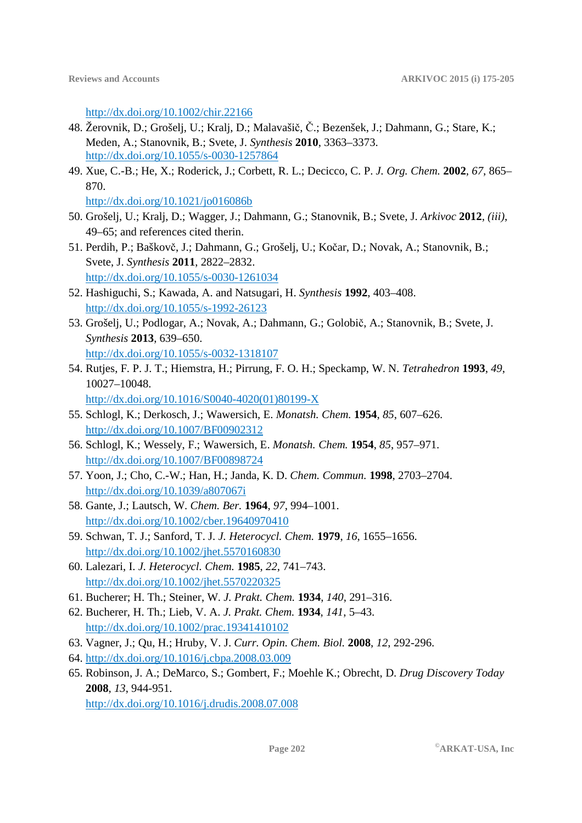http://dx.doi.org/10.1002/chir.22166

- 48. Žerovnik, D.; Grošelj, U.; Kralj, D.; Malavašič, Č.; Bezenšek, J.; Dahmann, G.; Stare, K.; Meden, A.; Stanovnik, B.; Svete, J. *Synthesis* **2010**, 3363–3373. http://dx.doi.org/10.1055/s-0030-1257864
- 49. Xue, C.-B.; He, X.; Roderick, J.; Corbett, R. L.; Decicco, C. P. *J. Org. Chem.* **2002**, *67*, 865– 870.

http://dx.doi.org/10.1021/jo016086b

- 50. Grošelj, U.; Kralj, D.; Wagger, J.; Dahmann, G.; Stanovnik, B.; Svete, J. *Arkivoc* **2012**, *(iii)*, 49–65; and references cited therin.
- 51. Perdih, P.; Baškovč, J.; Dahmann, G.; Grošelj, U.; Kočar, D.; Novak, A.; Stanovnik, B.; Svete, J. *Synthesis* **2011**, 2822–2832. http://dx.doi.org/10.1055/s-0030-1261034
- 52. Hashiguchi, S.; Kawada, A. and Natsugari, H. *Synthesis* **1992**, 403–408. http://dx.doi.org/10.1055/s-1992-26123
- 53. Grošelj, U.; Podlogar, A.; Novak, A.; Dahmann, G.; Golobič, A.; Stanovnik, B.; Svete, J. *Synthesis* **2013**, 639–650. http://dx.doi.org/10.1055/s-0032-1318107
- 54. Rutjes, F. P. J. T.; Hiemstra, H.; Pirrung, F. O. H.; Speckamp, W. N. *Tetrahedron* **1993**, *49*, 10027–10048. http://dx.doi.org/10.1016/S0040-4020(01)80199-X
- 55. Schlogl, K.; Derkosch, J.; Wawersich, E. *Monatsh. Chem.* **1954**, *85*, 607–626. http://dx.doi.org/10.1007/BF00902312
- 56. Schlogl, K.; Wessely, F.; Wawersich, E. *Monatsh. Chem.* **1954**, *85*, 957–971. http://dx.doi.org/10.1007/BF00898724
- 57. Yoon, J.; Cho, C.-W.; Han, H.; Janda, K. D. *Chem. Commun.* **1998**, 2703–2704. http://dx.doi.org/10.1039/a807067i
- 58. Gante, J.; Lautsch, W. *Chem. Ber.* **1964**, *97*, 994–1001. http://dx.doi.org/10.1002/cber.19640970410
- 59. Schwan, T. J.; Sanford, T. J. *J. Heterocycl. Chem.* **1979**, *16*, 1655–1656. http://dx.doi.org/10.1002/jhet.5570160830
- 60. Lalezari, I. *J. Heterocycl. Chem.* **1985**, *22*, 741–743. http://dx.doi.org/10.1002/jhet.5570220325
- 61. Bucherer; H. Th.; Steiner, W. *J. Prakt. Chem.* **1934**, *140*, 291–316.
- 62. Bucherer, H. Th.; Lieb, V. A. *J. Prakt. Chem.* **1934**, *141*, 5–43. http://dx.doi.org/10.1002/prac.19341410102
- 63. Vagner, J.; Qu, H.; Hruby, V. J. *Curr. Opin. Chem. Biol.* **2008**, *12*, 292-296.
- 64. http://dx.doi.org/10.1016/j.cbpa.2008.03.009
- 65. Robinson, J. A.; DeMarco, S.; Gombert, F.; Moehle K.; Obrecht, D. *Drug Discovery Today* **2008**, *13*, 944-951.

http://dx.doi.org/10.1016/j.drudis.2008.07.008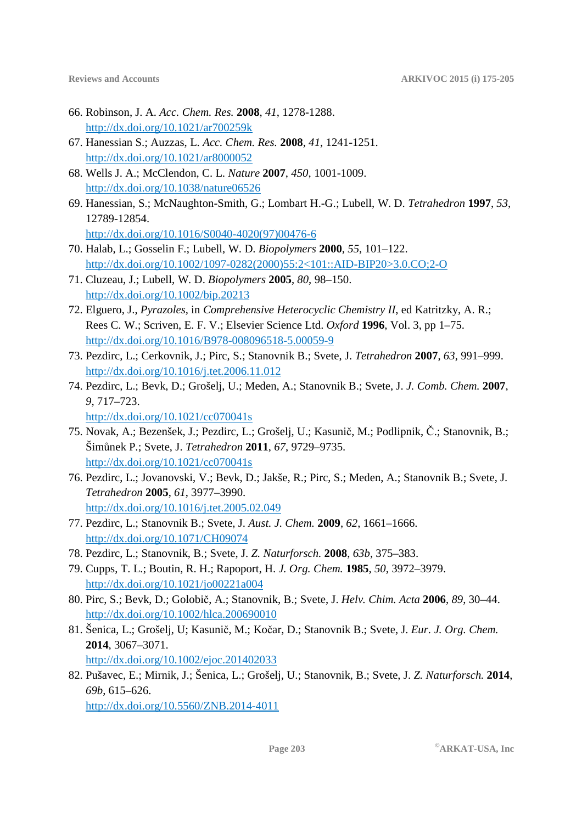- 66. Robinson, J. A. *Acc. Chem. Res.* **2008**, *41*, 1278-1288. http://dx.doi.org/10.1021/ar700259k
- 67. Hanessian S.; Auzzas, L. *Acc. Chem. Res.* **2008**, *41*, 1241-1251. http://dx.doi.org/10.1021/ar8000052
- 68. Wells J. A.; McClendon, C. L. *Nature* **2007**, *450*, 1001-1009. http://dx.doi.org/10.1038/nature06526
- 69. Hanessian, S.; McNaughton-Smith, G.; Lombart H.-G.; Lubell, W. D. *Tetrahedron* **1997**, *53*, 12789-12854. http://dx.doi.org/10.1016/S0040-4020(97)00476-6
- 70. Halab, L.; Gosselin F.; Lubell, W. D. *Biopolymers* **2000**, *55*, 101–122. http://dx.doi.org/10.1002/1097-0282(2000)55:2<101::AID-BIP20>3.0.CO;2-O
- 71. Cluzeau, J.; Lubell, W. D. *Biopolymers* **2005**, *80*, 98–150. http://dx.doi.org/10.1002/bip.20213
- 72. Elguero, J., *Pyrazoles,* in *Comprehensive Heterocyclic Chemistry II*, ed Katritzky, A. R.; Rees C. W.; Scriven, E. F. V.; Elsevier Science Ltd. *Oxford* **1996**, Vol. 3, pp 1–75. http://dx.doi.org/10.1016/B978-008096518-5.00059-9
- 73. Pezdirc, L.; Cerkovnik, J.; Pirc, S.; Stanovnik B.; Svete, J. *Tetrahedron* **2007**, *63*, 991–999. http://dx.doi.org/10.1016/j.tet.2006.11.012
- 74. Pezdirc, L.; Bevk, D.; Grošelj, U.; Meden, A.; Stanovnik B.; Svete, J. *J. Comb. Chem.* **2007**, *9*, 717–723.

http://dx.doi.org/10.1021/cc070041s

- 75. Novak, A.; Bezenšek, J.; Pezdirc, L.; Grošelj, U.; Kasunič, M.; Podlipnik, Č.; Stanovnik, B.; Šimůnek P.; Svete, J. *Tetrahedron* **2011**, *67*, 9729–9735. http://dx.doi.org/10.1021/cc070041s
- 76. Pezdirc, L.; Jovanovski, V.; Bevk, D.; Jakše, R.; Pirc, S.; Meden, A.; Stanovnik B.; Svete, J. *Tetrahedron* **2005**, *61*, 3977–3990. http://dx.doi.org/10.1016/j.tet.2005.02.049
- 77. Pezdirc, L.; Stanovnik B.; Svete, J. *Aust. J. Chem.* **2009**, *62*, 1661–1666. http://dx.doi.org/10.1071/CH09074
- 78. Pezdirc, L.; Stanovnik, B.; Svete, J. *Z. Naturforsch.* **2008**, *63b*, 375–383.
- 79. Cupps, T. L.; Boutin, R. H.; Rapoport, H. *J. Org. Chem.* **1985**, *50*, 3972–3979. http://dx.doi.org/10.1021/jo00221a004
- 80. Pirc, S.; Bevk, D.; Golobič, A.; Stanovnik, B.; Svete, J. *Helv. Chim. Acta* **2006**, *89*, 30–44. http://dx.doi.org/10.1002/hlca.200690010
- 81. Šenica, L.; Grošelj, U; Kasunič, M.; Kočar, D.; Stanovnik B.; Svete, J. *Eur. J. Org. Chem.* **2014**, 3067–3071. http://dx.doi.org/10.1002/ejoc.201402033
- 82. Pušavec, E.; Mirnik, J.; Šenica, L.; Grošelj, U.; Stanovnik, B.; Svete, J. *Z. Naturforsch.* **2014**, *69b*, 615–626. http://dx.doi.org/10.5560/ZNB.2014-4011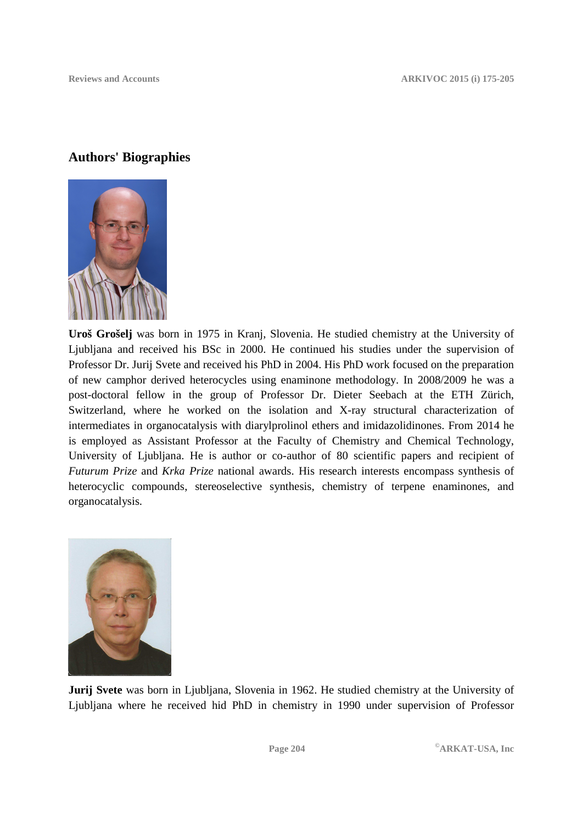## **Authors' Biographies**

![](_page_29_Picture_3.jpeg)

**Uroš Grošelj** was born in 1975 in Kranj, Slovenia. He studied chemistry at the University of Ljubljana and received his BSc in 2000. He continued his studies under the supervision of Professor Dr. Jurij Svete and received his PhD in 2004. His PhD work focused on the preparation of new camphor derived heterocycles using enaminone methodology. In 2008/2009 he was a post-doctoral fellow in the group of Professor Dr. Dieter Seebach at the ETH Zürich, Switzerland, where he worked on the isolation and X-ray structural characterization of intermediates in organocatalysis with diarylprolinol ethers and imidazolidinones. From 2014 he is employed as Assistant Professor at the Faculty of Chemistry and Chemical Technology, University of Ljubljana. He is author or co-author of 80 scientific papers and recipient of *Futurum Prize* and *Krka Prize* national awards. His research interests encompass synthesis of heterocyclic compounds, stereoselective synthesis, chemistry of terpene enaminones, and organocatalysis.

![](_page_29_Picture_5.jpeg)

**Jurij Svete** was born in Ljubljana, Slovenia in 1962. He studied chemistry at the University of Ljubljana where he received hid PhD in chemistry in 1990 under supervision of Professor